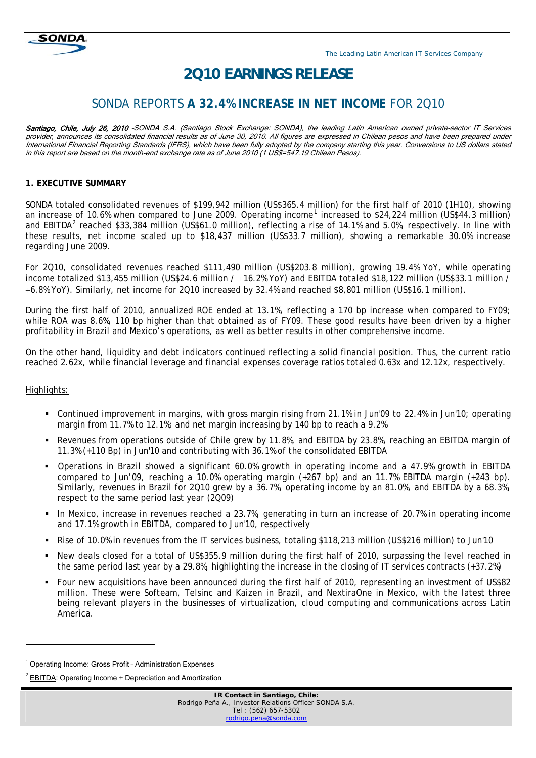

# *2Q10 EARNINGS RELEASE*

# SONDA REPORTS **A 32.4% INCREASE IN NET INCOME** FOR 2Q10

Santiago, Chile, July 26, 2010 -SONDA S.A. (Santiago Stock Exchange: SONDA), the leading Latin American owned private-sector IT Services provider, announces its consolidated financial results as of June 30, 2010. All figures are expressed in Chilean pesos and have been prepared under International Financial Reporting Standards (IFRS), which have been fully adopted by the company starting this year. Conversions to US dollars stated in this report are based on the month-end exchange rate as of June 2010 (1 US\$=547.19 Chilean Pesos).

#### **1. EXECUTIVE SUMMARY**

SONDA totaled consolidated revenues of \$199,942 million (US\$365.4 million) for the first half of 2010 (1H10), showing an increase of [1](#page-0-0)0.6% when compared to June 2009. Operating income<sup>1</sup> increased to \$24,224 million (US\$44.3 million) and EBITDA<sup>[2](#page-0-1)</sup> reached \$33,384 million (US\$61.0 million), reflecting a rise of 14.1% and 5.0%, respectively. In line with these results, net income scaled up to \$18,437 million (US\$33.7 million), showing a remarkable 30.0% increase regarding June 2009.

For 2Q10, consolidated revenues reached \$111,490 million (US\$203.8 million), growing 19.4% YoY, while operating income totalized \$13,455 million (US\$24.6 million / +16.2% YoY) and EBITDA totaled \$18,122 million (US\$33.1 million / 6.8% YoY). Similarly, net income for 2Q10 increased by 32.4% and reached \$8,801 million (US\$16.1 million).

During the first half of 2010, annualized ROE ended at 13.1%, reflecting a 170 bp increase when compared to FY09; while ROA was 8.6%, 110 bp higher than that obtained as of FY09. These good results have been driven by a higher profitability in Brazil and Mexico's operations, as well as better results in other comprehensive income.

On the other hand, liquidity and debt indicators continued reflecting a solid financial position. Thus, the current ratio reached 2.62x, while financial leverage and financial expenses coverage ratios totaled 0.63x and 12.12x, respectively.

#### Highlights:

l

- Continued improvement in margins, with gross margin rising from 21.1% in Jun'09 to 22.4% in Jun'10; operating margin from 11.7% to 12.1%; and net margin increasing by 140 bp to reach a 9.2%
- Revenues from operations outside of Chile grew by 11.8%, and EBITDA by 23.8%, reaching an EBITDA margin of 11.3% (+110 Bp) in Jun'10 and contributing with 36.1% of the consolidated EBITDA
- Operations in Brazil showed a significant 60.0% growth in operating income and a 47.9% growth in EBITDA compared to Jun'09, reaching a 10.0% operating margin (+267 bp) and an 11.7% EBITDA margin (+243 bp). Similarly, revenues in Brazil for 2Q10 grew by a 36.7%, operating income by an 81.0%, and EBITDA by a 68.3%, respect to the same period last year (2Q09)
- In Mexico, increase in revenues reached a 23.7%, generating in turn an increase of 20.7% in operating income and 17.1% growth in EBITDA, compared to Jun'10, respectively
- Rise of 10.0% in revenues from the IT services business, totaling \$118,213 million (US\$216 million) to Jun'10
- New deals closed for a total of US\$355.9 million during the first half of 2010, surpassing the level reached in the same period last year by a 29.8%, highlighting the increase in the closing of IT services contracts (+37.2%)
- Four new acquisitions have been announced during the first half of 2010, representing an investment of US\$82 million. These were Softeam, Telsinc and Kaizen in Brazil, and NextiraOne in Mexico, with the latest three being relevant players in the businesses of virtualization, cloud computing and communications across Latin America.

<span id="page-0-0"></span>Operating Income: Gross Profit - Administration Expenses

<span id="page-0-1"></span> $2$  EBITDA: Operating Income  $+$  Depreciation and Amortization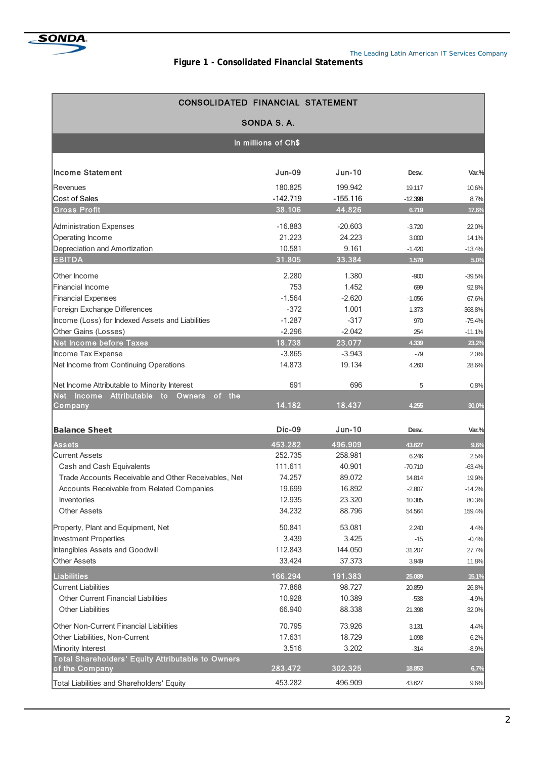

#### **Figure 1 - Consolidated Financial Statements**

| CONSOLIDATED FINANCIAL STATEMENT                                                    |               |            |           |           |  |  |  |  |  |  |
|-------------------------------------------------------------------------------------|---------------|------------|-----------|-----------|--|--|--|--|--|--|
|                                                                                     | SONDA S.A.    |            |           |           |  |  |  |  |  |  |
| In millions of Ch\$                                                                 |               |            |           |           |  |  |  |  |  |  |
| <b>Income Statement</b>                                                             | <b>Jun-09</b> | $Jun-10$   | Desv.     | Var.%     |  |  |  |  |  |  |
| Revenues                                                                            | 180.825       | 199.942    | 19.117    | 10,6%     |  |  |  |  |  |  |
| Cost of Sales                                                                       | $-142.719$    | $-155.116$ | $-12.398$ | 8,7%      |  |  |  |  |  |  |
| <b>Gross Profit</b>                                                                 | 38.106        | 44.826     | 6.719     | 17,6%     |  |  |  |  |  |  |
| Administration Expenses                                                             | $-16.883$     | $-20.603$  | $-3.720$  | 22,0%     |  |  |  |  |  |  |
| Operating Income                                                                    | 21.223        | 24.223     | 3.000     | 14,1%     |  |  |  |  |  |  |
| Depreciation and Amortization                                                       | 10.581        | 9.161      | $-1.420$  | $-13,4%$  |  |  |  |  |  |  |
| <b>EBITDA</b>                                                                       | 31.805        | 33.384     | 1.579     | 5,0%      |  |  |  |  |  |  |
| Other Income                                                                        | 2.280         | 1.380      | $-900$    | $-39,5%$  |  |  |  |  |  |  |
| <b>Financial Income</b>                                                             | 753           | 1.452      | 699       | 92,8%     |  |  |  |  |  |  |
| <b>Financial Expenses</b>                                                           | $-1.564$      | $-2.620$   | $-1.056$  | 67,6%     |  |  |  |  |  |  |
| Foreign Exchange Differences                                                        | $-372$        | 1.001      | 1.373     | $-368,8%$ |  |  |  |  |  |  |
| Income (Loss) for Indexed Assets and Liabilities                                    | $-1.287$      | $-317$     | 970       | $-75,4%$  |  |  |  |  |  |  |
| Other Gains (Losses)                                                                | $-2.296$      | $-2.042$   | 254       | $-11,1%$  |  |  |  |  |  |  |
| <b>Net Income before Taxes</b>                                                      | 18.738        | 23.077     | 4.339     | 23,2%     |  |  |  |  |  |  |
| Income Tax Expense                                                                  | $-3.865$      | $-3.943$   | $-79$     | 2,0%      |  |  |  |  |  |  |
| Net Income from Continuing Operations                                               | 14.873        | 19.134     | 4.260     | 28,6%     |  |  |  |  |  |  |
| Net Income Attributable to Minority Interest                                        | 691           | 696        | 5         | 0,8%      |  |  |  |  |  |  |
| of the<br><b>Net</b><br><b>Income</b><br><b>Attributable</b><br>to<br><b>Owners</b> |               |            |           |           |  |  |  |  |  |  |
| Company                                                                             | 14.182        | 18.437     | 4.255     | 30,0%     |  |  |  |  |  |  |
| <b>Balance Sheet</b>                                                                | <b>Dic-09</b> | $Jun-10$   | Desv.     | Var.%     |  |  |  |  |  |  |
| <b>Assets</b>                                                                       | 453.282       | 496.909    | 43.627    | 9,6%      |  |  |  |  |  |  |
| <b>Current Assets</b>                                                               | 252.735       | 258.981    | 6.246     | 2,5%      |  |  |  |  |  |  |
| Cash and Cash Equivalents                                                           | 111.611       | 40.901     | $-70.710$ | $-63,4%$  |  |  |  |  |  |  |
| Trade Accounts Receivable and Other Receivables, Net                                | 74.257        | 89.072     | 14.814    | 19,9%     |  |  |  |  |  |  |
| Accounts Receivable from Related Companies                                          | 19.699        | 16.892     | $-2.807$  | $-14,2%$  |  |  |  |  |  |  |
| Inventories                                                                         | 12.935        | 23.320     | 10.385    | 80,3%     |  |  |  |  |  |  |
| Other Assets                                                                        | 34.232        | 88.796     | 54.564    | 159,4%    |  |  |  |  |  |  |
| Property, Plant and Equipment, Net                                                  | 50.841        | 53.081     | 2.240     | 4,4%      |  |  |  |  |  |  |
| Investment Properties                                                               | 3.439         | 3.425      | $-15$     | $-0,4%$   |  |  |  |  |  |  |
| Intangibles Assets and Goodwill                                                     | 112.843       | 144.050    | 31.207    | 27,7%     |  |  |  |  |  |  |
| <b>Other Assets</b>                                                                 | 33.424        | 37.373     | 3.949     | 11,8%     |  |  |  |  |  |  |
| <b>Liabilities</b>                                                                  | 166.294       | 191.383    | 25.089    | 15,1%     |  |  |  |  |  |  |
| <b>Current Liabilities</b>                                                          | 77.868        | 98.727     | 20.859    | 26,8%     |  |  |  |  |  |  |
| Other Current Financial Liabilities                                                 | 10.928        | 10.389     | $-538$    | $-4,9%$   |  |  |  |  |  |  |
| <b>Other Liabilities</b>                                                            | 66.940        | 88.338     | 21.398    | 32,0%     |  |  |  |  |  |  |
| Other Non-Current Financial Liabilities                                             | 70.795        | 73.926     | 3.131     | 4,4%      |  |  |  |  |  |  |
| Other Liabilities, Non-Current                                                      | 17.631        | 18.729     | 1.098     | 6,2%      |  |  |  |  |  |  |
| Minority Interest                                                                   | 3.516         | 3.202      | $-314$    | $-8,9%$   |  |  |  |  |  |  |
| Total Shareholders' Equity Attributable to Owners<br>of the Company                 | 283.472       | 302.325    | 18.853    | 6,7%      |  |  |  |  |  |  |
| Total Liabilities and Shareholders' Equity                                          | 453.282       | 496.909    | 43.627    | 9,6%      |  |  |  |  |  |  |
|                                                                                     |               |            |           |           |  |  |  |  |  |  |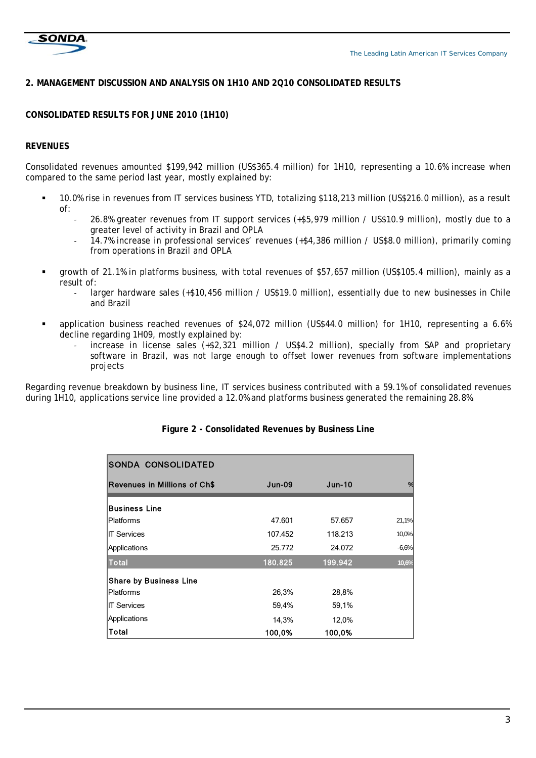

# **2. MANAGEMENT DISCUSSION AND ANALYSIS ON 1H10 AND 2Q10 CONSOLIDATED RESULTS**

# **CONSOLIDATED RESULTS FOR JUNE 2010 (1H10)**

#### **REVENUES**

Consolidated revenues amounted \$199,942 million (US\$365.4 million) for 1H10, representing a 10.6% increase when compared to the same period last year, mostly explained by:

- 10.0% rise in revenues from IT services business YTD, totalizing \$118,213 million (US\$216.0 million), as a result of:
	- ‐ 26.8% greater revenues from IT support services (+\$5,979 million / US\$10.9 million), mostly due to a greater level of activity in Brazil and OPLA
	- ‐ 14.7% increase in professional services' revenues (+\$4,386 million / US\$8.0 million), primarily coming from operations in Brazil and OPLA
- growth of 21.1% in platforms business, with total revenues of \$57,657 million (US\$105.4 million), mainly as a result of:
	- larger hardware sales (+\$10,456 million / US\$19.0 million), essentially due to new businesses in Chile and Brazil
- application business reached revenues of \$24,072 million (US\$44.0 million) for 1H10, representing a 6.6% decline regarding 1H09, mostly explained by:
	- increase in license sales (+\$2,321 million / US\$4.2 million), specially from SAP and proprietary software in Brazil, was not large enough to offset lower revenues from software implementations projects

Regarding revenue breakdown by business line, IT services business contributed with a 59.1% of consolidated revenues during 1H10, applications service line provided a 12.0% and platforms business generated the remaining 28.8%.

| <b>SONDA CONSOLIDATED</b>           |               |               |         |
|-------------------------------------|---------------|---------------|---------|
| <b>Revenues in Millions of Ch\$</b> | <b>Jun-09</b> | <b>Jun-10</b> | %       |
| <b>Business Line</b>                |               |               |         |
| lPlatforms                          | 47.601        | 57.657        | 21,1%   |
| <b>IT Services</b>                  | 107.452       | 118.213       | 10,0%   |
| Applications                        | 25.772        | 24.072        | $-6,6%$ |
| <b>Total</b>                        | 180.825       | 199.942       | 10,6%   |
| <b>Share by Business Line</b>       |               |               |         |
| Platforms                           | 26,3%         | 28,8%         |         |
| <b>IT Services</b>                  | 59,4%         | 59,1%         |         |
| Applications                        | 14,3%         | 12,0%         |         |
| <b>Total</b>                        | 100,0%        | 100,0%        |         |

# **Figure 2 - Consolidated Revenues by Business Line**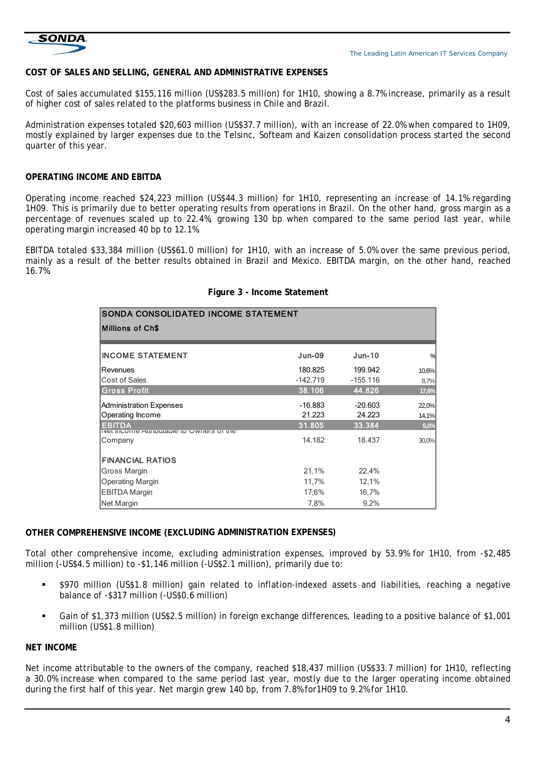

# **COST OF SALES AND SELLING, GENERAL AND ADMINISTRATIVE EXPENSES**

Cost of sales accumulated \$155,116 million (US\$283.5 million) for 1H10, showing a 8.7% increase, primarily as a result of higher cost of sales related to the platforms business in Chile and Brazil.

Administration expenses totaled \$20,603 million (US\$37.7 million), with an increase of 22.0% when compared to 1H09, mostly explained by larger expenses due to the Telsinc, Softeam and Kaizen consolidation process started the second quarter of this year.

#### **OPERATING INCOME AND EBITDA**

Operating income reached \$24,223 million (US\$44.3 million) for 1H10, representing an increase of 14.1% regarding 1H09. This is primarily due to better operating results from operations in Brazil. On the other hand, gross margin as a percentage of revenues scaled up to 22.4%, growing 130 bp when compared to the same period last year, while operating margin increased 40 bp to 12.1%.

EBITDA totaled \$33,384 million (US\$61.0 million) for 1H10, with an increase of 5.0% over the same previous period, mainly as a result of the better results obtained in Brazil and Mexico. EBITDA margin, on the other hand, reached 16.7%.

| SONDA CONSOLIDATED INCOME STATEMENT                     |           |            |       |  |  |  |  |  |  |
|---------------------------------------------------------|-----------|------------|-------|--|--|--|--|--|--|
| Millions of Ch\$                                        |           |            |       |  |  |  |  |  |  |
| <b>INCOME STATEMENT</b>                                 | $Jun-09$  | $Jun-10$   | %     |  |  |  |  |  |  |
| <b>Revenues</b>                                         | 180.825   | 199.942    | 10,6% |  |  |  |  |  |  |
| <b>Cost of Sales</b>                                    | -142.719  | $-155.116$ | 8,7%  |  |  |  |  |  |  |
| <b>Gross Profit</b>                                     | 38.106    | 44.826     | 17,6% |  |  |  |  |  |  |
| Administration Expenses                                 | $-16.883$ | $-20.603$  | 22,0% |  |  |  |  |  |  |
| Operating Income                                        | 21.223    | 24.223     | 14,1% |  |  |  |  |  |  |
| <b>EBITDA</b><br>ואפרוווה שמווחמוסמופיה האגוופוס חויוופ | 31.805    | 33.384     | 5,0%  |  |  |  |  |  |  |
| Company                                                 | 14.182    | 18.437     | 30,0% |  |  |  |  |  |  |
| <b>FINANCIAL RATIOS</b>                                 |           |            |       |  |  |  |  |  |  |
| Gross Margin                                            | 21,1%     | 22,4%      |       |  |  |  |  |  |  |
| <b>Operating Margin</b>                                 | 11,7%     | 12,1%      |       |  |  |  |  |  |  |
| <b>EBITDA Margin</b>                                    | 17,6%     | 16,7%      |       |  |  |  |  |  |  |
| Net Margin                                              | 7,8%      | 9,2%       |       |  |  |  |  |  |  |

#### **Figure 3 - Income Statement**

#### **OTHER COMPREHENSIVE INCOME (EXCLUDING ADMINISTRATION EXPENSES)**

Total other comprehensive income, excluding administration expenses, improved by 53.9% for 1H10, from -\$2,485 million (-US\$4.5 million) to -\$1,146 million (-US\$2.1 million), primarily due to:

- \$970 million (US\$1.8 million) gain related to inflation-indexed assets and liabilities, reaching a negative balance of -\$317 million (-US\$0.6 million)
- Gain of \$1,373 million (US\$2.5 million) in foreign exchange differences, leading to a positive balance of \$1,001 million (US\$1.8 million)

#### **NET INCOME**

Net income attributable to the owners of the company, reached \$18,437 million (US\$33.7 million) for 1H10, reflecting a 30.0% increase when compared to the same period last year, mostly due to the larger operating income obtained during the first half of this year. Net margin grew 140 bp, from 7.8% for1H09 to 9.2% for 1H10.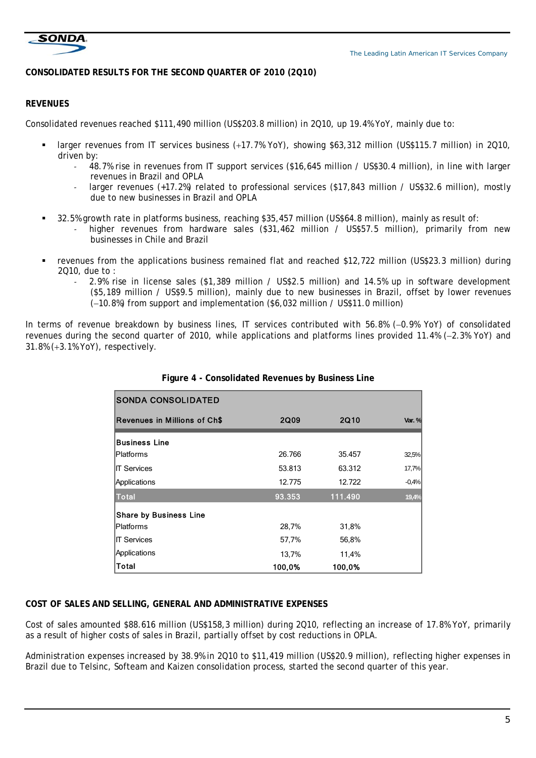

# **CONSOLIDATED RESULTS FOR THE SECOND QUARTER OF 2010 (2Q10)**

# **REVENUES**

Consolidated revenues reached \$111,490 million (US\$203.8 million) in 2Q10, up 19.4% YoY, mainly due to:

- larger revenues from IT services business (+17.7% YoY), showing \$63,312 million (US\$115.7 million) in 2Q10, driven by:
	- ‐ 48.7% rise in revenues from IT support services (\$16,645 million / US\$30.4 million), in line with larger revenues in Brazil and OPLA
	- larger revenues (+17.2%) related to professional services (\$17,843 million / US\$32.6 million), mostly due to new businesses in Brazil and OPLA
- 32.5% growth rate in platforms business, reaching \$35,457 million (US\$64.8 million), mainly as result of:
	- higher revenues from hardware sales (\$31,462 million / US\$57.5 million), primarily from new businesses in Chile and Brazil
- revenues from the applications business remained flat and reached \$12,722 million (US\$23.3 million) during 2Q10, due to :
	- ‐ 2.9% rise in license sales (\$1,389 million / US\$2.5 million) and 14.5% up in software development (\$5,189 million / US\$9.5 million), mainly due to new businesses in Brazil, offset by lower revenues  $(-10.8\%)$  from support and implementation (\$6,032 million / US\$11.0 million)

In terms of revenue breakdown by business lines, IT services contributed with 56.8% (-0.9% YoY) of consolidated revenues during the second quarter of 2010, while applications and platforms lines provided 11.4% (-2.3% YoY) and 31.8% (+3.1% YoY), respectively.

| <b>SONDA CONSOLIDATED</b>           |        |             |         |
|-------------------------------------|--------|-------------|---------|
| <b>Revenues in Millions of Ch\$</b> | 2Q09   | <b>2Q10</b> | Var. %  |
| <b>Business Line</b>                |        |             |         |
| <b>Platforms</b>                    | 26.766 | 35.457      | 32,5%   |
| <b>IIT Services</b>                 | 53.813 | 63.312      | 17,7%   |
| Applications                        | 12.775 | 12.722      | $-0,4%$ |
| Total                               | 93.353 | 111.490     | 19,4%   |
| <b>Share by Business Line</b>       |        |             |         |
| <b>Platforms</b>                    | 28,7%  | 31,8%       |         |
| <b>IT Services</b>                  | 57,7%  | 56,8%       |         |
| Applications                        | 13,7%  | 11,4%       |         |
| Total                               | 100,0% | 100,0%      |         |

| Figure 4 - Consolidated Revenues by Business Line |  |  |
|---------------------------------------------------|--|--|
|                                                   |  |  |

#### **COST OF SALES AND SELLING, GENERAL AND ADMINISTRATIVE EXPENSES**

Cost of sales amounted \$88.616 million (US\$158,3 million) during 2Q10, reflecting an increase of 17.8% YoY, primarily as a result of higher costs of sales in Brazil, partially offset by cost reductions in OPLA.

Administration expenses increased by 38.9% in 2Q10 to \$11,419 million (US\$20.9 million), reflecting higher expenses in Brazil due to Telsinc, Softeam and Kaizen consolidation process, started the second quarter of this year.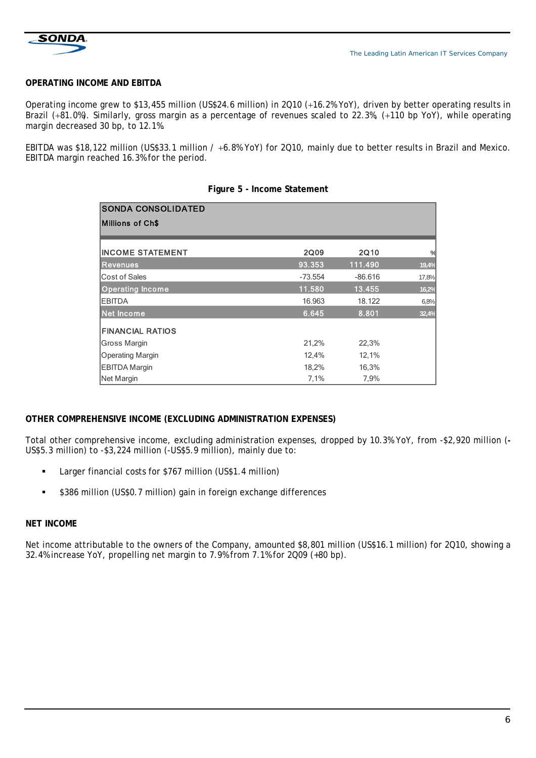

# **OPERATING INCOME AND EBITDA**

Operating income grew to \$13,455 million (US\$24.6 million) in 2Q10 (+16.2% YoY), driven by better operating results in Brazil (+81.0%). Similarly, gross margin as a percentage of revenues scaled to 22.3%, (+110 bp YoY), while operating margin decreased 30 bp, to 12.1%.

EBITDA was \$18,122 million (US\$33.1 million / +6.8% YoY) for 2Q10, mainly due to better results in Brazil and Mexico. EBITDA margin reached 16.3% for the period.

| <b>SONDA CONSOLIDATED</b> |           |           |       |
|---------------------------|-----------|-----------|-------|
| <b>Millions of Ch\$</b>   |           |           |       |
| <b>IINCOME STATEMENT</b>  | 2Q09      | 2Q10      | %     |
| <b>Revenues</b>           | 93.353    | 111.490   | 19,4% |
| <b>Cost of Sales</b>      | $-73.554$ | $-86.616$ | 17,8% |
| <b>Operating Income</b>   | 11.580    | 13.455    | 16,2% |
| <b>IEBITDA</b>            | 16.963    | 18.122    | 6,8%  |
| Net Income                | 6.645     | 8.801     | 32,4% |
| <b>FINANCIAL RATIOS</b>   |           |           |       |
| Gross Margin              | 21,2%     | 22,3%     |       |
| <b>Operating Margin</b>   | 12,4%     | 12,1%     |       |
| EBITDA Margin             | 18,2%     | 16,3%     |       |
| Net Margin                | 7,1%      | 7,9%      |       |

#### **Figure 5 - Income Statement**

#### **OTHER COMPREHENSIVE INCOME (EXCLUDING ADMINISTRATION EXPENSES)**

Total other comprehensive income, excluding administration expenses, dropped by 10.3% YoY, from -\$2,920 million (**-** US\$5.3 million) to -\$3,224 million (-US\$5.9 million), mainly due to:

- **Larger financial costs for \$767 million (US\$1.4 million)**
- **S386 million (US\$0.7 million) gain in foreign exchange differences**

#### **NET INCOME**

Net income attributable to the owners of the Company, amounted \$8,801 million (US\$16.1 million) for 2Q10, showing a 32.4% increase YoY, propelling net margin to 7.9% from 7.1% for 2Q09 (+80 bp).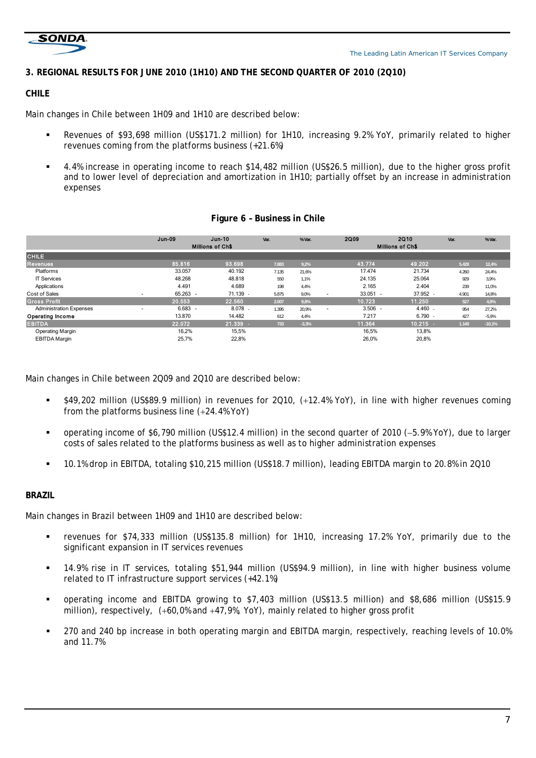

# **3. REGIONAL RESULTS FOR JUNE 2010 (1H10) AND THE SECOND QUARTER OF 2010 (2Q10)**

# **CHILE**

Main changes in Chile between 1H09 and 1H10 are described below:

- Revenues of \$93,698 million (US\$171.2 million) for 1H10, increasing 9.2% YoY, primarily related to higher revenues coming from the platforms business (+21.6%)
- 4.4% increase in operating income to reach \$14,482 million (US\$26.5 million), due to the higher gross profit and to lower level of depreciation and amortization in 1H10; partially offset by an increase in administration expenses

|                                | <b>Jun-09</b>                         | <b>Jun-10</b>           | Var.  | % Var.  |                          | 2Q09                    | 2Q10       | Var.  | % Var.   |  |
|--------------------------------|---------------------------------------|-------------------------|-------|---------|--------------------------|-------------------------|------------|-------|----------|--|
|                                |                                       | <b>Millions of Ch\$</b> |       |         |                          | <b>Millions of Ch\$</b> |            |       |          |  |
| <b>CHILE</b>                   |                                       |                         |       |         |                          |                         |            |       |          |  |
| <b>Revenues</b>                | 85.816                                | 93.698                  | 7.883 | 9.2%    |                          | 43.774                  | 49.202     | 5.428 | 12,4%    |  |
| Platforms                      | 33.057                                | 40.192                  | 7.135 | 21.6%   |                          | 17.474                  | 21.734     | 4.260 | 24,4%    |  |
| <b>IT Services</b>             | 48.268                                | 48.818                  | 550   | 1.1%    |                          | 24.135                  | 25.064     | 929   | 3,9%     |  |
| Applications                   | 4.491                                 | 4.689                   | 198   | 4.4%    |                          | 2.165                   | 2.404      | 239   | 11,0%    |  |
| Cost of Sales                  | 65.263 -<br>$\overline{\phantom{a}}$  | 71.139                  | 5.875 | 9.0%    | $\overline{\phantom{a}}$ | $33.051 -$              | 37.952     | 4.901 | 14,8%    |  |
| <b>Gross Profit</b>            | 20.553                                | 22.560                  | 2.007 | 9,8%    |                          | 10.723                  | 11.250     | 527   | 4,9%     |  |
| <b>Administration Expenses</b> | $6.683 -$<br>$\overline{\phantom{a}}$ | 8.078                   | 1.395 | 20.9%   | $\overline{\phantom{a}}$ | $3.506 -$               | 4.460      | 954   | 27,2%    |  |
| Operating Income               | 13.870                                | 14.482                  | 612   | 4.4%    |                          | 7.217                   | 6.790      | 427   | $-5,9%$  |  |
| <b>EBITDA</b>                  | 22.072                                | 21.339                  | 733   | $-3,3%$ |                          | 11.364                  | $10.215 -$ | 1.149 | $-10,1%$ |  |
| <b>Operating Margin</b>        | 16,2%                                 | 15,5%                   |       |         |                          | 16,5%                   | 13,8%      |       |          |  |
| <b>EBITDA Margin</b>           | 25,7%                                 | 22,8%                   |       |         |                          | 26,0%                   | 20,8%      |       |          |  |

#### **Figure 6 – Business in Chile**

Main changes in Chile between 2Q09 and 2Q10 are described below:

- **549,202 million (US\$89.9 million) in revenues for 2Q10, (+12.4% YoY), in line with higher revenues coming** from the platforms business line  $(+24.4\%$  YoY)
- operating income of \$6,790 million (US\$12.4 million) in the second quarter of 2010 (-5.9% YoY), due to larger costs of sales related to the platforms business as well as to higher administration expenses
- 10.1% drop in EBITDA, totaling \$10,215 million (US\$18.7 million), leading EBITDA margin to 20.8% in 2Q10

# **BRAZIL**

Main changes in Brazil between 1H09 and 1H10 are described below:

- revenues for \$74,333 million (US\$135.8 million) for 1H10, increasing 17.2% YoY, primarily due to the significant expansion in IT services revenues
- 14.9% rise in IT services, totaling \$51,944 million (US\$94.9 million), in line with higher business volume related to IT infrastructure support services (+42.1%)
- operating income and EBITDA growing to \$7,403 million (US\$13.5 million) and \$8,686 million (US\$15.9 million), respectively,  $(+60.0\%$  and  $+47.9\%$ , YoY), mainly related to higher gross profit
- 270 and 240 bp increase in both operating margin and EBITDA margin, respectively, reaching levels of 10.0% and 11.7%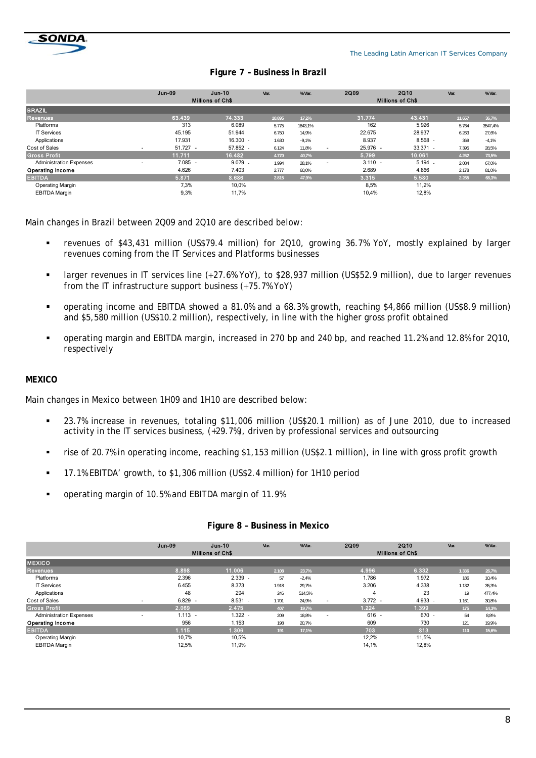

# **Figure 7 – Business in Brazil**

|                                | <b>Jun-09</b> | $Jun-10$<br><b>Millions of Ch\$</b> | Var.   | % Var.  | <b>2Q09</b>    | <b>2Q10</b><br><b>Millions of Ch\$</b> | Var.   | % Var.  |
|--------------------------------|---------------|-------------------------------------|--------|---------|----------------|----------------------------------------|--------|---------|
| <b>BRAZIL</b>                  |               |                                     |        |         |                |                                        |        |         |
| <b>Revenues</b>                | 63.439        | 74.333                              | 10.895 | 17,2%   | 31.774         | 43.431                                 | 11.657 | 36,7%   |
| Platforms                      | 313           | 6.089                               | 5.775  | 1843,1% | 162            | 5.926                                  | 5.764  | 3547,4% |
| <b>IT Services</b>             | 45.195        | 51.944                              | 6.750  | 14,9%   | 22.675         | 28.937                                 | 6.263  | 27,6%   |
| Applications                   | 17.931        | $16.300$ .                          | 1.630  | $-9.1%$ | 8.937          | 8.568                                  | 369    | $-4,1%$ |
| Cost of Sales<br>۰             | $51.727 -$    | 57.852 -                            | 6.124  | 11.8%   | 25.976 -<br>٠  | $33.371 -$                             | 7.395  | 28,5%   |
| Gross Profit                   | 11.711        | 16.482                              | 4.770  | 40,7%   | 5.799          | 10.061                                 | 4.262  | 73,5%   |
| <b>Administration Expenses</b> | $7.085 -$     | 9.079                               | 1.994  | 28,1%   | $3.110 -$<br>٠ | $5.194$ .                              | 2.084  | 67,0%   |
| Operating Income               | 4.626         | 7.403                               | 2.777  | 60,0%   | 2.689          | 4.866                                  | 2.178  | 81,0%   |
| <b>EBITDA</b>                  | 5.871         | 8.686                               | 2.815  | 47,9%   | 3.315          | 5.580                                  | 2.265  | 68,3%   |
| Operating Margin               | 7,3%          | 10,0%                               |        |         | 8,5%           | 11,2%                                  |        |         |
| <b>EBITDA Margin</b>           | 9,3%          | 11,7%                               |        |         | 10,4%          | 12,8%                                  |        |         |

Main changes in Brazil between 2Q09 and 2Q10 are described below:

- revenues of \$43,431 million (US\$79.4 million) for 2Q10, growing 36.7% YoY, mostly explained by larger revenues coming from the IT Services and Platforms businesses
- larger revenues in IT services line (27.6% YoY), to \$28,937 million (US\$52.9 million), due to larger revenues from the IT infrastructure support business  $(+75.7\%$  YoY)
- operating income and EBITDA showed a 81.0% and a 68.3% growth, reaching \$4,866 million (US\$8.9 million) and \$5,580 million (US\$10.2 million), respectively, in line with the higher gross profit obtained
- operating margin and EBITDA margin, increased in 270 bp and 240 bp, and reached 11.2% and 12.8% for 2Q10, respectively

#### **MEXICO**

Main changes in Mexico between 1H09 and 1H10 are described below:

- 23.7% increase in revenues, totaling \$11,006 million (US\$20.1 million) as of June 2010, due to increased activity in the IT services business,  $(+29.7%)$ , driven by professional services and outsourcing
- rise of 20.7% in operating income, reaching \$1,153 million (US\$2.1 million), in line with gross profit growth
- 17.1% EBITDA' growth, to \$1,306 million (US\$2.4 million) for 1H10 period
- operating margin of 10.5% and EBITDA margin of 11.9%

|                                | <b>Jun-09</b> | $Jun-10$                | Var.  | % Var.  | <b>2Q09</b>              |           | <b>2Q10</b>             | Var.  | % Var. |  |
|--------------------------------|---------------|-------------------------|-------|---------|--------------------------|-----------|-------------------------|-------|--------|--|
|                                |               | <b>Millions of Ch\$</b> |       |         |                          |           | <b>Millions of Ch\$</b> |       |        |  |
| <b>MEXICO</b>                  |               |                         |       |         |                          |           |                         |       |        |  |
| <b>Revenues</b>                | 8.898         | 11.006                  | 2.108 | 23,7%   |                          | 4.996     | 6.332                   | 1.336 | 26,7%  |  |
| Platforms                      | 2.396         | 2.339                   | 57    | $-2,4%$ |                          | 1.786     | 1.972                   | 186   | 10,4%  |  |
| <b>IT Services</b>             | 6.455         | 8.373                   | 1.918 | 29,7%   |                          | 3.206     | 4.338                   | 1.132 | 35,3%  |  |
| Applications                   | 48            | 294                     | 246   | 514,5%  |                          | 4         | 23                      | 19    | 477,4% |  |
| Cost of Sales<br>۰             | $6.829 -$     | $8.531$ .               | 1.701 | 24,9%   | $\overline{\phantom{a}}$ | $3.772 -$ | 4.933                   | 1.161 | 30,8%  |  |
| <b>Gross Profit</b>            | 2.069         | 2.475                   | 407   | 19,7%   |                          | 1.224     | 1.399                   | 175   | 14,3%  |  |
| <b>Administration Expenses</b> | $1.113 -$     | $1.322$ .               | 209   | 18,8%   | $\overline{\phantom{a}}$ | $616 -$   | 670                     | 54    | 8,8%   |  |
| <b>Operating Income</b>        | 956           | 1.153                   | 198   | 20,7%   |                          | 609       | 730                     | 121   | 19,9%  |  |
| EBITDA,                        | 1.115         | 1.306                   | 191   | 17,1%   |                          | 703       | 813                     | 110   | 15,6%  |  |
| Operating Margin               | 10.7%         | 10,5%                   |       |         |                          | 12,2%     | 11,5%                   |       |        |  |
| <b>EBITDA Margin</b>           | 12,5%         | 11,9%                   |       |         |                          | 14,1%     | 12,8%                   |       |        |  |
|                                |               |                         |       |         |                          |           |                         |       |        |  |

#### **Figure 8 – Business in Mexico**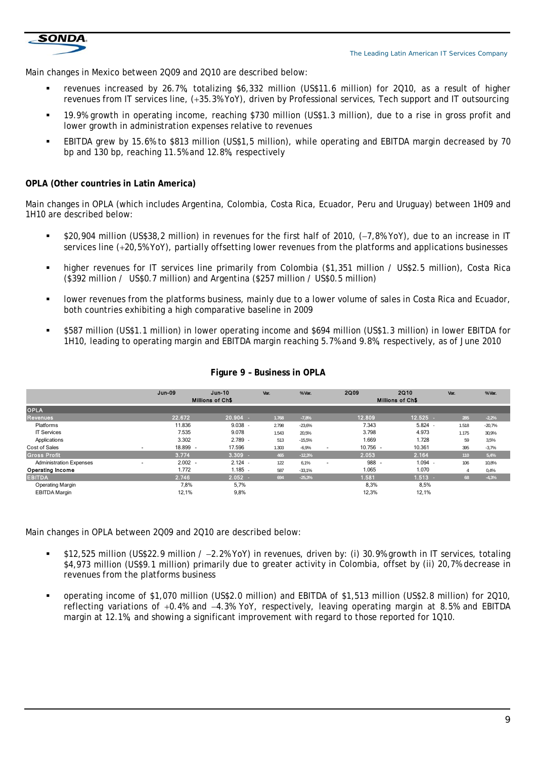

Main changes in Mexico between 2Q09 and 2Q10 are described below:

- revenues increased by 26.7%, totalizing \$6,332 million (US\$11.6 million) for 2Q10, as a result of higher revenues from IT services line, (+35.3% YoY), driven by Professional services, Tech support and IT outsourcing
- 19.9% growth in operating income, reaching \$730 million (US\$1.3 million), due to a rise in gross profit and lower growth in administration expenses relative to revenues
- **EBITDA grew by 15.6% to \$813 million (US\$1,5 million), while operating and EBITDA margin decreased by 70** bp and 130 bp, reaching 11.5% and 12.8%, respectively

#### **PLA (Other countries in Latin America) O**

Main changes in OPLA (which includes Argentina, Colombia, Costa Rica, Ecuador, Peru and Uruguay) between 1H09 and 1H10 are described below:

- services line (+20,5% YoY), partially offsetting lower revenues from the platforms and applications businesses \$20,904 million (US\$38,2 million) in revenues for the first half of 2010, (-7,8% YoY), due to an increase in IT
- Indeproversion of the orion of the control of the primarily from Colombia (\$1,351 million / US\$2.5 million), Costa Rica (\$392 million / US\$0.7 million) and Argentina (\$257 million / US\$0.5 million)
- lower revenues from the platforms business, mainly due to a lower volume of sales in Costa Rica and Ecuador, both countries exhibiting a high comparative baseline in 2009
- **5587 million (US\$1.1 million) in lower operating income and \$694 million (US\$1.3 million) in lower EBITDA for** 1H10, leading to operating margin and EBITDA margin reaching 5.7% and 9.8%, respectively, as of June 2010

|                                | $Jun-09$  | $Jun-10$                | Var.  | % Var.   | <b>2Q09</b>                            | <b>2Q10</b>             | Var.  | % Var.   |  |  |
|--------------------------------|-----------|-------------------------|-------|----------|----------------------------------------|-------------------------|-------|----------|--|--|
|                                |           | <b>Millions of Ch\$</b> |       |          |                                        | <b>Millions of Ch\$</b> |       |          |  |  |
| <b>OPLA</b>                    |           |                         |       |          |                                        |                         |       |          |  |  |
| <b>Revenues</b>                | 22.672    | 20.904                  | 1.768 | $-7,8%$  | 12.809                                 | 12.525                  | 285   | $-2,2%$  |  |  |
| Platforms                      | 11.836    | 9.038                   | 2.798 | $-23,6%$ | 7.343                                  | 5.824                   | 1.518 | $-20,7%$ |  |  |
| <b>IT Services</b>             | 7.535     | 9.078                   | 1.543 | 20,5%    | 3.798                                  | 4.973                   | 1.175 | 30,9%    |  |  |
| Applications                   | 3.302     | 2.789                   | 513   | $-15,5%$ | 1.669                                  | 1.728                   | 59    | 3,5%     |  |  |
| Cost of Sales                  | 18.899 -  | 17.596                  | 1.303 | $-6.9%$  | $10.756 -$<br>$\overline{\phantom{a}}$ | 10.361                  | 395   | $-3,7%$  |  |  |
| <b>Gross Profit</b>            | 3.774     | 3.309                   | 465   | $-12,3%$ | 2.053                                  | 2.164                   | 110   | 5,4%     |  |  |
| <b>Administration Expenses</b> | $2.002 -$ | 2.124                   | 122   | 6.1%     | 988                                    | 1.094                   | 106   | 10,8%    |  |  |
| <b>Operating Income</b>        | 1.772     | 1.185                   | 587   | $-33,1%$ | 1.065                                  | 1.070                   |       | 0,4%     |  |  |
| <b>EBITDA</b>                  | 2.746     | 2.052                   | 694   | $-25,3%$ | 1.581                                  | $1.513 -$               | 68    | $-4,3%$  |  |  |
| <b>Operating Margin</b>        | 7,8%      | 5,7%                    |       |          | 8,3%                                   | 8,5%                    |       |          |  |  |
| <b>EBITDA Margin</b>           | 12,1%     | 9,8%                    |       |          | 12,3%                                  | 12,1%                   |       |          |  |  |

#### **Figure 9 – Business in OPLA**

Main changes in OPLA between 2009 and 2010 are described below:

- \$4,973 million (US\$9.1 million) primarily due to greater activity in Colombia, offset by (ii) 20,7% decrease in revenues from the platforms business \$12,525 million (US\$22.9 million / 2.2% YoY) in revenues, driven by: (i) 30.9% growth in IT services, totaling
- margin at 12.1%, and showing a significant improvement with regard to those reported for 1Q10. reflecting variations of +0.4% and -4.3% YoY, respectively, leaving operating margin at 8.5% and EBITDA operating income of \$1,070 million (US\$2.0 million) and EBITDA of \$1,513 million (US\$2.8 million) for 2Q10,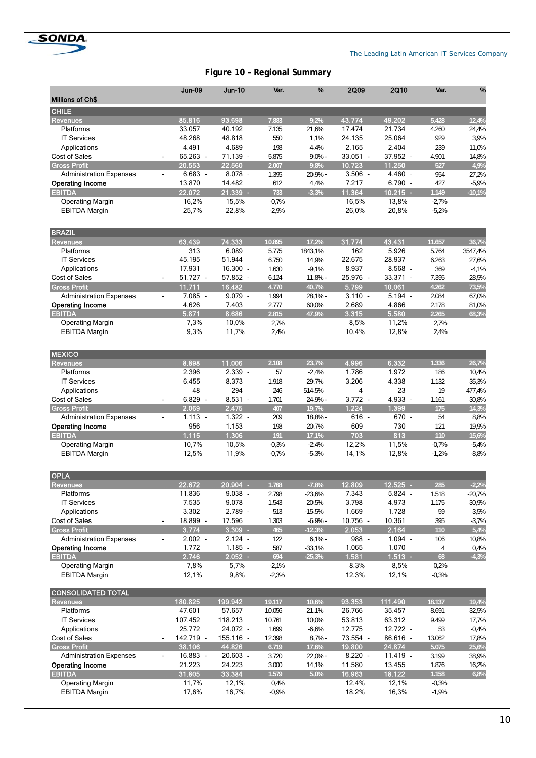

# **Figure 10 – Regional Summary**

| Millions of Ch\$<br><b>CHILE</b><br>85.816<br>93.698<br>43.774<br>49.202<br>7.883<br>9,2%<br>5.428<br><b>Revenues</b><br><b>Platforms</b><br>33.057<br>40.192<br>7.135<br>21,6%<br>17.474<br>21.734<br>4.260<br>24,4%<br>3,9%<br>48.268<br>48.818<br>550<br>1,1%<br>24.135<br>25.064<br>929<br><b>IT Services</b><br>4.491<br>4.689<br>198<br>2.165<br>2.404<br>239<br>11,0%<br>Applications<br>4,4%<br>65.263 -<br>Cost of Sales<br>71.139 -<br>5.875<br>$9,0%$ -<br>$33.051 -$<br>37.952 -<br>4.901<br>14,8%<br>22.560<br>20.553<br>9,8%<br>10.723<br>11.250<br><b>Gross Profit</b><br>2.007<br>527<br>$8.078 -$<br>4.460 -<br>$6.683 -$<br>1.395<br>20,9% -<br>$3.506 -$<br>954<br>27,2%<br><b>Administration Expenses</b><br>$\blacksquare$<br>$6.790 -$<br><b>Operating Income</b><br>13.870<br>14.482<br>612<br>4,4%<br>7.217<br>427<br>$-5,9%$<br>22.072<br>21.339 -<br>$-3,3%$<br>11.364<br>$10.215 -$<br><b>EBITDA</b><br>733<br>1.149<br><b>Operating Margin</b><br>16,2%<br>15,5%<br>$-0,7%$<br>16,5%<br>13,8%<br>$-2,7%$<br><b>EBITDA Margin</b><br>25,7%<br>22,8%<br>$-2,9%$<br>26,0%<br>20,8%<br>$-5,2%$<br><b>BRAZIL</b><br>63.439<br>74.333<br>31.774<br>43.431<br>10.895<br>17,2%<br>11.657<br><b>Revenues</b><br>313<br><b>Platforms</b><br>6.089<br>162<br>5.926<br>5.775<br>1843,1%<br>5.764<br>3547,4%<br>22.675<br><b>IT Services</b><br>45.195<br>51.944<br>6.750<br>28.937<br>14,9%<br>6.263<br>27,6%<br>8.937<br>8.568<br>Applications<br>17.931<br>$16.300 -$<br>1.630<br>$-9,1%$<br>369<br>$-4,1%$<br>33.371 -<br><b>Cost of Sales</b><br>$51.727 -$<br>57.852 -<br>6.124<br>$11,8% -$<br>25.976 -<br>7.395<br>28,5%<br>$\blacksquare$<br>11.711<br>16.482<br>4.770<br>5.799<br>10.061<br>4.262<br><b>Gross Profit</b><br>40,7%<br>$7.085 -$<br>$9.079 -$<br>$3.110 -$<br>$5.194 -$<br><b>Administration Expenses</b><br>1.994<br>$28,1%$ -<br>2.084<br>67,0%<br>$\overline{\phantom{a}}$<br>4.626<br>7.403<br>4.866<br><b>Operating Income</b><br>2.777<br>60,0%<br>2.689<br>2.178<br>81,0%<br><b>EBITDA</b><br>5.871<br>8.686<br>3.315<br>5.580<br>2.265<br>2.815<br>47,9%<br><b>Operating Margin</b><br>7,3%<br>10,0%<br>2,7%<br>8,5%<br>11,2%<br>2,7%<br>9,3%<br><b>EBITDA Margin</b><br>11,7%<br>2,4%<br>10,4%<br>12,8%<br>2,4%<br><b>MEXICO</b><br>8.898<br>11.006<br>4.996<br>6.332<br><b>Revenues</b><br>2.108<br>23,7%<br>1.336<br>2.396<br><b>Platforms</b><br>$2.339 -$<br>1.786<br>1.972<br>57<br>$-2,4%$<br>186<br>10,4%<br>8.373<br>29,7%<br>3.206<br>4.338<br><b>IT Services</b><br>6.455<br>1.918<br>35,3%<br>1.132<br>294<br>23<br>48<br>246<br>514,5%<br>4<br>19<br>477,4%<br>Applications<br>$8.531 -$<br>4.933 -<br>Cost of Sales<br>$6.829 -$<br>$3.772 -$<br>1.701<br>24,9% -<br>1.161<br>30,8%<br>$\blacksquare$<br>2.475<br>1.224<br>2.069<br>19,7%<br>1.399<br><b>Gross Profit</b><br>407<br>175<br>$1.322 -$<br>$1.113 -$<br>209<br>18,8% -<br>$616 -$<br>670 -<br>54<br>8,8%<br><b>Administration Expenses</b><br>÷.<br>1.153<br>956<br>609<br>730<br><b>Operating Income</b><br>198<br>20,7%<br>121<br>19,9%<br>1.115<br>813<br>1.306<br>191<br>17,1%<br>703<br><b>EBITDA</b><br>110<br><b>Operating Margin</b><br>10,7%<br>10,5%<br>$-0,3%$<br>$-2,4%$<br>12,2%<br>11,5%<br>$-0,7%$<br>$-5,4%$<br>12,5%<br>$-8,8%$<br><b>EBITDA Margin</b><br>11,9%<br>$-0,7%$<br>$-5,3%$<br>14,1%<br>12,8%<br>$-1,2%$<br><b>OPLA</b><br>22.672<br>20.904 -<br>12.809<br>12.525<br>1.768<br>$-7,8%$<br>$-2,2%$<br><b>Revenues</b><br>285<br>$5.824 -$<br>11.836<br>$9.038 -$<br>7.343<br>Platforms<br>2.798<br>$-20,7%$<br>$-23,6%$<br>1.518<br>7.535<br>9.078<br>20,5%<br>3.798<br>4.973<br><b>IT Services</b><br>1.543<br>1.175<br>30,9%<br>3.302<br>2.789 -<br>1.728<br>Applications<br>513<br>$-15,5%$<br>1.669<br>59<br>3,5%<br>Cost of Sales<br>18.899 -<br>17.596<br>10.756 -<br>10.361<br>1.303<br>$-6,9%$ -<br>395<br>$-3,7%$<br>$\frac{1}{2}$<br><b>Gross Profit</b><br>3.774<br>$3.309 -$<br>465<br>2.053<br>2.164<br>$-12,3%$<br>110<br>$2.124 -$<br>$6,1\%$ -<br>988 -<br>$1.094 -$<br><b>Administration Expenses</b><br>$2.002 -$<br>122<br>106<br>10,8%<br>$\blacksquare$<br>1.070<br>1.772<br>$1.185 -$<br>1.065<br><b>Operating Income</b><br>587<br>$-33,1%$<br>0,4%<br>4<br>2.746<br>$2.052$ -<br>1.581<br>$1.513 -$<br>68<br><b>EBITDA</b><br>694<br>$-25,3%$<br><b>Operating Margin</b><br>7,8%<br>5,7%<br>$-2,1%$<br>8,3%<br>8,5%<br>0,2%<br><b>EBITDA Margin</b><br>12,1%<br>9,8%<br>12,3%<br>12,1%<br>$-2,3%$<br>$-0,3%$<br><b>CONSOLIDATED TOTAL</b><br>111.490<br>180.825<br>199.942<br>19.117<br>10,6%<br>93.353<br>Revenues<br>18.137<br>Platforms<br>47.601<br>57.657<br>26.766<br>35.457<br>10.056<br>21,1%<br>8.691<br>32,5%<br><b>IT Services</b><br>107.452<br>118.213<br>10.761<br>10,0%<br>53.813<br>63.312<br>9.499<br>17,7%<br>25.772<br>24.072 -<br>1.699<br>12.775<br>12.722 -<br>$-0,4%$<br>Applications<br>$-6,6%$<br>53<br>Cost of Sales<br>142.719 -<br>73.554 -<br>86.616 -<br>$155.116$ -<br>12.398<br>$8,7%$ -<br>13.062<br>17,8%<br>24.874<br><b>Gross Profit</b><br>38.106<br>44.826<br>6.719<br>17,6%<br>19.800<br>5.075<br>16.883 -<br>20.603 -<br>$8.220 -$<br>$11.419 -$<br>3.199<br>38,9%<br><b>Administration Expenses</b><br>3.720<br>22,0% -<br>$\frac{1}{2}$<br>11.580<br><b>Operating Income</b><br>21.223<br>24.223<br>3.000<br>14,1%<br>13.455<br>1.876<br>16,2%<br><b>EBITDA</b><br>31.805<br>33.384<br>16.963<br>18.122<br>1.579<br>5,0%<br>1.158<br>11,7%<br>12,1%<br>0,4%<br>12,4%<br>12,1%<br><b>Operating Margin</b><br>$-0,3%$ |  | <b>Jun-09</b> | <b>Jun-10</b> | Var. | % | <b>2Q09</b> | <b>2Q10</b> | Var. | % |
|-------------------------------------------------------------------------------------------------------------------------------------------------------------------------------------------------------------------------------------------------------------------------------------------------------------------------------------------------------------------------------------------------------------------------------------------------------------------------------------------------------------------------------------------------------------------------------------------------------------------------------------------------------------------------------------------------------------------------------------------------------------------------------------------------------------------------------------------------------------------------------------------------------------------------------------------------------------------------------------------------------------------------------------------------------------------------------------------------------------------------------------------------------------------------------------------------------------------------------------------------------------------------------------------------------------------------------------------------------------------------------------------------------------------------------------------------------------------------------------------------------------------------------------------------------------------------------------------------------------------------------------------------------------------------------------------------------------------------------------------------------------------------------------------------------------------------------------------------------------------------------------------------------------------------------------------------------------------------------------------------------------------------------------------------------------------------------------------------------------------------------------------------------------------------------------------------------------------------------------------------------------------------------------------------------------------------------------------------------------------------------------------------------------------------------------------------------------------------------------------------------------------------------------------------------------------------------------------------------------------------------------------------------------------------------------------------------------------------------------------------------------------------------------------------------------------------------------------------------------------------------------------------------------------------------------------------------------------------------------------------------------------------------------------------------------------------------------------------------------------------------------------------------------------------------------------------------------------------------------------------------------------------------------------------------------------------------------------------------------------------------------------------------------------------------------------------------------------------------------------------------------------------------------------------------------------------------------------------------------------------------------------------------------------------------------------------------------------------------------------------------------------------------------------------------------------------------------------------------------------------------------------------------------------------------------------------------------------------------------------------------------------------------------------------------------------------------------------------------------------------------------------------------------------------------------------------------------------------------------------------------------------------------------------------------------------------------------------------------------------------------------------------------------------------------------------------------------------------------------------------------------------------------------------------------------------------------------------------------------------------------------------------------------------------------------------------------------------------------------------------------------------------------------------------------------------------------------------------------------------------------------------------------------------------------------------------------------------------------------------------------------------------------------------------------------------------------------------------------------------------------------------------------------------------------------------------------------------------------------------------------------------------------------------------------------------------------------------------------------------------------------------------------------------------------------------------------------------------------------------------------------------------------------------|--|---------------|---------------|------|---|-------------|-------------|------|---|
|                                                                                                                                                                                                                                                                                                                                                                                                                                                                                                                                                                                                                                                                                                                                                                                                                                                                                                                                                                                                                                                                                                                                                                                                                                                                                                                                                                                                                                                                                                                                                                                                                                                                                                                                                                                                                                                                                                                                                                                                                                                                                                                                                                                                                                                                                                                                                                                                                                                                                                                                                                                                                                                                                                                                                                                                                                                                                                                                                                                                                                                                                                                                                                                                                                                                                                                                                                                                                                                                                                                                                                                                                                                                                                                                                                                                                                                                                                                                                                                                                                                                                                                                                                                                                                                                                                                                                                                                                                                                                                                                                                                                                                                                                                                                                                                                                                                                                                                                                                                                                                                                                                                                                                                                                                                                                                                                                                                                                                                                                                                                           |  |               |               |      |   |             |             |      |   |
| 12,4%<br>4,9%<br>$-10,1%$<br>36,7%<br>73,5%<br>68,3%<br>26,7%<br>14,3%<br>15,6%<br>5,4%<br>$-4,3%$<br>19,4%<br>25,6%<br>6,8%                                                                                                                                                                                                                                                                                                                                                                                                                                                                                                                                                                                                                                                                                                                                                                                                                                                                                                                                                                                                                                                                                                                                                                                                                                                                                                                                                                                                                                                                                                                                                                                                                                                                                                                                                                                                                                                                                                                                                                                                                                                                                                                                                                                                                                                                                                                                                                                                                                                                                                                                                                                                                                                                                                                                                                                                                                                                                                                                                                                                                                                                                                                                                                                                                                                                                                                                                                                                                                                                                                                                                                                                                                                                                                                                                                                                                                                                                                                                                                                                                                                                                                                                                                                                                                                                                                                                                                                                                                                                                                                                                                                                                                                                                                                                                                                                                                                                                                                                                                                                                                                                                                                                                                                                                                                                                                                                                                                                              |  |               |               |      |   |             |             |      |   |
|                                                                                                                                                                                                                                                                                                                                                                                                                                                                                                                                                                                                                                                                                                                                                                                                                                                                                                                                                                                                                                                                                                                                                                                                                                                                                                                                                                                                                                                                                                                                                                                                                                                                                                                                                                                                                                                                                                                                                                                                                                                                                                                                                                                                                                                                                                                                                                                                                                                                                                                                                                                                                                                                                                                                                                                                                                                                                                                                                                                                                                                                                                                                                                                                                                                                                                                                                                                                                                                                                                                                                                                                                                                                                                                                                                                                                                                                                                                                                                                                                                                                                                                                                                                                                                                                                                                                                                                                                                                                                                                                                                                                                                                                                                                                                                                                                                                                                                                                                                                                                                                                                                                                                                                                                                                                                                                                                                                                                                                                                                                                           |  |               |               |      |   |             |             |      |   |
|                                                                                                                                                                                                                                                                                                                                                                                                                                                                                                                                                                                                                                                                                                                                                                                                                                                                                                                                                                                                                                                                                                                                                                                                                                                                                                                                                                                                                                                                                                                                                                                                                                                                                                                                                                                                                                                                                                                                                                                                                                                                                                                                                                                                                                                                                                                                                                                                                                                                                                                                                                                                                                                                                                                                                                                                                                                                                                                                                                                                                                                                                                                                                                                                                                                                                                                                                                                                                                                                                                                                                                                                                                                                                                                                                                                                                                                                                                                                                                                                                                                                                                                                                                                                                                                                                                                                                                                                                                                                                                                                                                                                                                                                                                                                                                                                                                                                                                                                                                                                                                                                                                                                                                                                                                                                                                                                                                                                                                                                                                                                           |  |               |               |      |   |             |             |      |   |
|                                                                                                                                                                                                                                                                                                                                                                                                                                                                                                                                                                                                                                                                                                                                                                                                                                                                                                                                                                                                                                                                                                                                                                                                                                                                                                                                                                                                                                                                                                                                                                                                                                                                                                                                                                                                                                                                                                                                                                                                                                                                                                                                                                                                                                                                                                                                                                                                                                                                                                                                                                                                                                                                                                                                                                                                                                                                                                                                                                                                                                                                                                                                                                                                                                                                                                                                                                                                                                                                                                                                                                                                                                                                                                                                                                                                                                                                                                                                                                                                                                                                                                                                                                                                                                                                                                                                                                                                                                                                                                                                                                                                                                                                                                                                                                                                                                                                                                                                                                                                                                                                                                                                                                                                                                                                                                                                                                                                                                                                                                                                           |  |               |               |      |   |             |             |      |   |
|                                                                                                                                                                                                                                                                                                                                                                                                                                                                                                                                                                                                                                                                                                                                                                                                                                                                                                                                                                                                                                                                                                                                                                                                                                                                                                                                                                                                                                                                                                                                                                                                                                                                                                                                                                                                                                                                                                                                                                                                                                                                                                                                                                                                                                                                                                                                                                                                                                                                                                                                                                                                                                                                                                                                                                                                                                                                                                                                                                                                                                                                                                                                                                                                                                                                                                                                                                                                                                                                                                                                                                                                                                                                                                                                                                                                                                                                                                                                                                                                                                                                                                                                                                                                                                                                                                                                                                                                                                                                                                                                                                                                                                                                                                                                                                                                                                                                                                                                                                                                                                                                                                                                                                                                                                                                                                                                                                                                                                                                                                                                           |  |               |               |      |   |             |             |      |   |
|                                                                                                                                                                                                                                                                                                                                                                                                                                                                                                                                                                                                                                                                                                                                                                                                                                                                                                                                                                                                                                                                                                                                                                                                                                                                                                                                                                                                                                                                                                                                                                                                                                                                                                                                                                                                                                                                                                                                                                                                                                                                                                                                                                                                                                                                                                                                                                                                                                                                                                                                                                                                                                                                                                                                                                                                                                                                                                                                                                                                                                                                                                                                                                                                                                                                                                                                                                                                                                                                                                                                                                                                                                                                                                                                                                                                                                                                                                                                                                                                                                                                                                                                                                                                                                                                                                                                                                                                                                                                                                                                                                                                                                                                                                                                                                                                                                                                                                                                                                                                                                                                                                                                                                                                                                                                                                                                                                                                                                                                                                                                           |  |               |               |      |   |             |             |      |   |
|                                                                                                                                                                                                                                                                                                                                                                                                                                                                                                                                                                                                                                                                                                                                                                                                                                                                                                                                                                                                                                                                                                                                                                                                                                                                                                                                                                                                                                                                                                                                                                                                                                                                                                                                                                                                                                                                                                                                                                                                                                                                                                                                                                                                                                                                                                                                                                                                                                                                                                                                                                                                                                                                                                                                                                                                                                                                                                                                                                                                                                                                                                                                                                                                                                                                                                                                                                                                                                                                                                                                                                                                                                                                                                                                                                                                                                                                                                                                                                                                                                                                                                                                                                                                                                                                                                                                                                                                                                                                                                                                                                                                                                                                                                                                                                                                                                                                                                                                                                                                                                                                                                                                                                                                                                                                                                                                                                                                                                                                                                                                           |  |               |               |      |   |             |             |      |   |
|                                                                                                                                                                                                                                                                                                                                                                                                                                                                                                                                                                                                                                                                                                                                                                                                                                                                                                                                                                                                                                                                                                                                                                                                                                                                                                                                                                                                                                                                                                                                                                                                                                                                                                                                                                                                                                                                                                                                                                                                                                                                                                                                                                                                                                                                                                                                                                                                                                                                                                                                                                                                                                                                                                                                                                                                                                                                                                                                                                                                                                                                                                                                                                                                                                                                                                                                                                                                                                                                                                                                                                                                                                                                                                                                                                                                                                                                                                                                                                                                                                                                                                                                                                                                                                                                                                                                                                                                                                                                                                                                                                                                                                                                                                                                                                                                                                                                                                                                                                                                                                                                                                                                                                                                                                                                                                                                                                                                                                                                                                                                           |  |               |               |      |   |             |             |      |   |
|                                                                                                                                                                                                                                                                                                                                                                                                                                                                                                                                                                                                                                                                                                                                                                                                                                                                                                                                                                                                                                                                                                                                                                                                                                                                                                                                                                                                                                                                                                                                                                                                                                                                                                                                                                                                                                                                                                                                                                                                                                                                                                                                                                                                                                                                                                                                                                                                                                                                                                                                                                                                                                                                                                                                                                                                                                                                                                                                                                                                                                                                                                                                                                                                                                                                                                                                                                                                                                                                                                                                                                                                                                                                                                                                                                                                                                                                                                                                                                                                                                                                                                                                                                                                                                                                                                                                                                                                                                                                                                                                                                                                                                                                                                                                                                                                                                                                                                                                                                                                                                                                                                                                                                                                                                                                                                                                                                                                                                                                                                                                           |  |               |               |      |   |             |             |      |   |
|                                                                                                                                                                                                                                                                                                                                                                                                                                                                                                                                                                                                                                                                                                                                                                                                                                                                                                                                                                                                                                                                                                                                                                                                                                                                                                                                                                                                                                                                                                                                                                                                                                                                                                                                                                                                                                                                                                                                                                                                                                                                                                                                                                                                                                                                                                                                                                                                                                                                                                                                                                                                                                                                                                                                                                                                                                                                                                                                                                                                                                                                                                                                                                                                                                                                                                                                                                                                                                                                                                                                                                                                                                                                                                                                                                                                                                                                                                                                                                                                                                                                                                                                                                                                                                                                                                                                                                                                                                                                                                                                                                                                                                                                                                                                                                                                                                                                                                                                                                                                                                                                                                                                                                                                                                                                                                                                                                                                                                                                                                                                           |  |               |               |      |   |             |             |      |   |
|                                                                                                                                                                                                                                                                                                                                                                                                                                                                                                                                                                                                                                                                                                                                                                                                                                                                                                                                                                                                                                                                                                                                                                                                                                                                                                                                                                                                                                                                                                                                                                                                                                                                                                                                                                                                                                                                                                                                                                                                                                                                                                                                                                                                                                                                                                                                                                                                                                                                                                                                                                                                                                                                                                                                                                                                                                                                                                                                                                                                                                                                                                                                                                                                                                                                                                                                                                                                                                                                                                                                                                                                                                                                                                                                                                                                                                                                                                                                                                                                                                                                                                                                                                                                                                                                                                                                                                                                                                                                                                                                                                                                                                                                                                                                                                                                                                                                                                                                                                                                                                                                                                                                                                                                                                                                                                                                                                                                                                                                                                                                           |  |               |               |      |   |             |             |      |   |
|                                                                                                                                                                                                                                                                                                                                                                                                                                                                                                                                                                                                                                                                                                                                                                                                                                                                                                                                                                                                                                                                                                                                                                                                                                                                                                                                                                                                                                                                                                                                                                                                                                                                                                                                                                                                                                                                                                                                                                                                                                                                                                                                                                                                                                                                                                                                                                                                                                                                                                                                                                                                                                                                                                                                                                                                                                                                                                                                                                                                                                                                                                                                                                                                                                                                                                                                                                                                                                                                                                                                                                                                                                                                                                                                                                                                                                                                                                                                                                                                                                                                                                                                                                                                                                                                                                                                                                                                                                                                                                                                                                                                                                                                                                                                                                                                                                                                                                                                                                                                                                                                                                                                                                                                                                                                                                                                                                                                                                                                                                                                           |  |               |               |      |   |             |             |      |   |
|                                                                                                                                                                                                                                                                                                                                                                                                                                                                                                                                                                                                                                                                                                                                                                                                                                                                                                                                                                                                                                                                                                                                                                                                                                                                                                                                                                                                                                                                                                                                                                                                                                                                                                                                                                                                                                                                                                                                                                                                                                                                                                                                                                                                                                                                                                                                                                                                                                                                                                                                                                                                                                                                                                                                                                                                                                                                                                                                                                                                                                                                                                                                                                                                                                                                                                                                                                                                                                                                                                                                                                                                                                                                                                                                                                                                                                                                                                                                                                                                                                                                                                                                                                                                                                                                                                                                                                                                                                                                                                                                                                                                                                                                                                                                                                                                                                                                                                                                                                                                                                                                                                                                                                                                                                                                                                                                                                                                                                                                                                                                           |  |               |               |      |   |             |             |      |   |
|                                                                                                                                                                                                                                                                                                                                                                                                                                                                                                                                                                                                                                                                                                                                                                                                                                                                                                                                                                                                                                                                                                                                                                                                                                                                                                                                                                                                                                                                                                                                                                                                                                                                                                                                                                                                                                                                                                                                                                                                                                                                                                                                                                                                                                                                                                                                                                                                                                                                                                                                                                                                                                                                                                                                                                                                                                                                                                                                                                                                                                                                                                                                                                                                                                                                                                                                                                                                                                                                                                                                                                                                                                                                                                                                                                                                                                                                                                                                                                                                                                                                                                                                                                                                                                                                                                                                                                                                                                                                                                                                                                                                                                                                                                                                                                                                                                                                                                                                                                                                                                                                                                                                                                                                                                                                                                                                                                                                                                                                                                                                           |  |               |               |      |   |             |             |      |   |
|                                                                                                                                                                                                                                                                                                                                                                                                                                                                                                                                                                                                                                                                                                                                                                                                                                                                                                                                                                                                                                                                                                                                                                                                                                                                                                                                                                                                                                                                                                                                                                                                                                                                                                                                                                                                                                                                                                                                                                                                                                                                                                                                                                                                                                                                                                                                                                                                                                                                                                                                                                                                                                                                                                                                                                                                                                                                                                                                                                                                                                                                                                                                                                                                                                                                                                                                                                                                                                                                                                                                                                                                                                                                                                                                                                                                                                                                                                                                                                                                                                                                                                                                                                                                                                                                                                                                                                                                                                                                                                                                                                                                                                                                                                                                                                                                                                                                                                                                                                                                                                                                                                                                                                                                                                                                                                                                                                                                                                                                                                                                           |  |               |               |      |   |             |             |      |   |
|                                                                                                                                                                                                                                                                                                                                                                                                                                                                                                                                                                                                                                                                                                                                                                                                                                                                                                                                                                                                                                                                                                                                                                                                                                                                                                                                                                                                                                                                                                                                                                                                                                                                                                                                                                                                                                                                                                                                                                                                                                                                                                                                                                                                                                                                                                                                                                                                                                                                                                                                                                                                                                                                                                                                                                                                                                                                                                                                                                                                                                                                                                                                                                                                                                                                                                                                                                                                                                                                                                                                                                                                                                                                                                                                                                                                                                                                                                                                                                                                                                                                                                                                                                                                                                                                                                                                                                                                                                                                                                                                                                                                                                                                                                                                                                                                                                                                                                                                                                                                                                                                                                                                                                                                                                                                                                                                                                                                                                                                                                                                           |  |               |               |      |   |             |             |      |   |
|                                                                                                                                                                                                                                                                                                                                                                                                                                                                                                                                                                                                                                                                                                                                                                                                                                                                                                                                                                                                                                                                                                                                                                                                                                                                                                                                                                                                                                                                                                                                                                                                                                                                                                                                                                                                                                                                                                                                                                                                                                                                                                                                                                                                                                                                                                                                                                                                                                                                                                                                                                                                                                                                                                                                                                                                                                                                                                                                                                                                                                                                                                                                                                                                                                                                                                                                                                                                                                                                                                                                                                                                                                                                                                                                                                                                                                                                                                                                                                                                                                                                                                                                                                                                                                                                                                                                                                                                                                                                                                                                                                                                                                                                                                                                                                                                                                                                                                                                                                                                                                                                                                                                                                                                                                                                                                                                                                                                                                                                                                                                           |  |               |               |      |   |             |             |      |   |
|                                                                                                                                                                                                                                                                                                                                                                                                                                                                                                                                                                                                                                                                                                                                                                                                                                                                                                                                                                                                                                                                                                                                                                                                                                                                                                                                                                                                                                                                                                                                                                                                                                                                                                                                                                                                                                                                                                                                                                                                                                                                                                                                                                                                                                                                                                                                                                                                                                                                                                                                                                                                                                                                                                                                                                                                                                                                                                                                                                                                                                                                                                                                                                                                                                                                                                                                                                                                                                                                                                                                                                                                                                                                                                                                                                                                                                                                                                                                                                                                                                                                                                                                                                                                                                                                                                                                                                                                                                                                                                                                                                                                                                                                                                                                                                                                                                                                                                                                                                                                                                                                                                                                                                                                                                                                                                                                                                                                                                                                                                                                           |  |               |               |      |   |             |             |      |   |
|                                                                                                                                                                                                                                                                                                                                                                                                                                                                                                                                                                                                                                                                                                                                                                                                                                                                                                                                                                                                                                                                                                                                                                                                                                                                                                                                                                                                                                                                                                                                                                                                                                                                                                                                                                                                                                                                                                                                                                                                                                                                                                                                                                                                                                                                                                                                                                                                                                                                                                                                                                                                                                                                                                                                                                                                                                                                                                                                                                                                                                                                                                                                                                                                                                                                                                                                                                                                                                                                                                                                                                                                                                                                                                                                                                                                                                                                                                                                                                                                                                                                                                                                                                                                                                                                                                                                                                                                                                                                                                                                                                                                                                                                                                                                                                                                                                                                                                                                                                                                                                                                                                                                                                                                                                                                                                                                                                                                                                                                                                                                           |  |               |               |      |   |             |             |      |   |
|                                                                                                                                                                                                                                                                                                                                                                                                                                                                                                                                                                                                                                                                                                                                                                                                                                                                                                                                                                                                                                                                                                                                                                                                                                                                                                                                                                                                                                                                                                                                                                                                                                                                                                                                                                                                                                                                                                                                                                                                                                                                                                                                                                                                                                                                                                                                                                                                                                                                                                                                                                                                                                                                                                                                                                                                                                                                                                                                                                                                                                                                                                                                                                                                                                                                                                                                                                                                                                                                                                                                                                                                                                                                                                                                                                                                                                                                                                                                                                                                                                                                                                                                                                                                                                                                                                                                                                                                                                                                                                                                                                                                                                                                                                                                                                                                                                                                                                                                                                                                                                                                                                                                                                                                                                                                                                                                                                                                                                                                                                                                           |  |               |               |      |   |             |             |      |   |
|                                                                                                                                                                                                                                                                                                                                                                                                                                                                                                                                                                                                                                                                                                                                                                                                                                                                                                                                                                                                                                                                                                                                                                                                                                                                                                                                                                                                                                                                                                                                                                                                                                                                                                                                                                                                                                                                                                                                                                                                                                                                                                                                                                                                                                                                                                                                                                                                                                                                                                                                                                                                                                                                                                                                                                                                                                                                                                                                                                                                                                                                                                                                                                                                                                                                                                                                                                                                                                                                                                                                                                                                                                                                                                                                                                                                                                                                                                                                                                                                                                                                                                                                                                                                                                                                                                                                                                                                                                                                                                                                                                                                                                                                                                                                                                                                                                                                                                                                                                                                                                                                                                                                                                                                                                                                                                                                                                                                                                                                                                                                           |  |               |               |      |   |             |             |      |   |
|                                                                                                                                                                                                                                                                                                                                                                                                                                                                                                                                                                                                                                                                                                                                                                                                                                                                                                                                                                                                                                                                                                                                                                                                                                                                                                                                                                                                                                                                                                                                                                                                                                                                                                                                                                                                                                                                                                                                                                                                                                                                                                                                                                                                                                                                                                                                                                                                                                                                                                                                                                                                                                                                                                                                                                                                                                                                                                                                                                                                                                                                                                                                                                                                                                                                                                                                                                                                                                                                                                                                                                                                                                                                                                                                                                                                                                                                                                                                                                                                                                                                                                                                                                                                                                                                                                                                                                                                                                                                                                                                                                                                                                                                                                                                                                                                                                                                                                                                                                                                                                                                                                                                                                                                                                                                                                                                                                                                                                                                                                                                           |  |               |               |      |   |             |             |      |   |
|                                                                                                                                                                                                                                                                                                                                                                                                                                                                                                                                                                                                                                                                                                                                                                                                                                                                                                                                                                                                                                                                                                                                                                                                                                                                                                                                                                                                                                                                                                                                                                                                                                                                                                                                                                                                                                                                                                                                                                                                                                                                                                                                                                                                                                                                                                                                                                                                                                                                                                                                                                                                                                                                                                                                                                                                                                                                                                                                                                                                                                                                                                                                                                                                                                                                                                                                                                                                                                                                                                                                                                                                                                                                                                                                                                                                                                                                                                                                                                                                                                                                                                                                                                                                                                                                                                                                                                                                                                                                                                                                                                                                                                                                                                                                                                                                                                                                                                                                                                                                                                                                                                                                                                                                                                                                                                                                                                                                                                                                                                                                           |  |               |               |      |   |             |             |      |   |
|                                                                                                                                                                                                                                                                                                                                                                                                                                                                                                                                                                                                                                                                                                                                                                                                                                                                                                                                                                                                                                                                                                                                                                                                                                                                                                                                                                                                                                                                                                                                                                                                                                                                                                                                                                                                                                                                                                                                                                                                                                                                                                                                                                                                                                                                                                                                                                                                                                                                                                                                                                                                                                                                                                                                                                                                                                                                                                                                                                                                                                                                                                                                                                                                                                                                                                                                                                                                                                                                                                                                                                                                                                                                                                                                                                                                                                                                                                                                                                                                                                                                                                                                                                                                                                                                                                                                                                                                                                                                                                                                                                                                                                                                                                                                                                                                                                                                                                                                                                                                                                                                                                                                                                                                                                                                                                                                                                                                                                                                                                                                           |  |               |               |      |   |             |             |      |   |
|                                                                                                                                                                                                                                                                                                                                                                                                                                                                                                                                                                                                                                                                                                                                                                                                                                                                                                                                                                                                                                                                                                                                                                                                                                                                                                                                                                                                                                                                                                                                                                                                                                                                                                                                                                                                                                                                                                                                                                                                                                                                                                                                                                                                                                                                                                                                                                                                                                                                                                                                                                                                                                                                                                                                                                                                                                                                                                                                                                                                                                                                                                                                                                                                                                                                                                                                                                                                                                                                                                                                                                                                                                                                                                                                                                                                                                                                                                                                                                                                                                                                                                                                                                                                                                                                                                                                                                                                                                                                                                                                                                                                                                                                                                                                                                                                                                                                                                                                                                                                                                                                                                                                                                                                                                                                                                                                                                                                                                                                                                                                           |  |               |               |      |   |             |             |      |   |
|                                                                                                                                                                                                                                                                                                                                                                                                                                                                                                                                                                                                                                                                                                                                                                                                                                                                                                                                                                                                                                                                                                                                                                                                                                                                                                                                                                                                                                                                                                                                                                                                                                                                                                                                                                                                                                                                                                                                                                                                                                                                                                                                                                                                                                                                                                                                                                                                                                                                                                                                                                                                                                                                                                                                                                                                                                                                                                                                                                                                                                                                                                                                                                                                                                                                                                                                                                                                                                                                                                                                                                                                                                                                                                                                                                                                                                                                                                                                                                                                                                                                                                                                                                                                                                                                                                                                                                                                                                                                                                                                                                                                                                                                                                                                                                                                                                                                                                                                                                                                                                                                                                                                                                                                                                                                                                                                                                                                                                                                                                                                           |  |               |               |      |   |             |             |      |   |
|                                                                                                                                                                                                                                                                                                                                                                                                                                                                                                                                                                                                                                                                                                                                                                                                                                                                                                                                                                                                                                                                                                                                                                                                                                                                                                                                                                                                                                                                                                                                                                                                                                                                                                                                                                                                                                                                                                                                                                                                                                                                                                                                                                                                                                                                                                                                                                                                                                                                                                                                                                                                                                                                                                                                                                                                                                                                                                                                                                                                                                                                                                                                                                                                                                                                                                                                                                                                                                                                                                                                                                                                                                                                                                                                                                                                                                                                                                                                                                                                                                                                                                                                                                                                                                                                                                                                                                                                                                                                                                                                                                                                                                                                                                                                                                                                                                                                                                                                                                                                                                                                                                                                                                                                                                                                                                                                                                                                                                                                                                                                           |  |               |               |      |   |             |             |      |   |
|                                                                                                                                                                                                                                                                                                                                                                                                                                                                                                                                                                                                                                                                                                                                                                                                                                                                                                                                                                                                                                                                                                                                                                                                                                                                                                                                                                                                                                                                                                                                                                                                                                                                                                                                                                                                                                                                                                                                                                                                                                                                                                                                                                                                                                                                                                                                                                                                                                                                                                                                                                                                                                                                                                                                                                                                                                                                                                                                                                                                                                                                                                                                                                                                                                                                                                                                                                                                                                                                                                                                                                                                                                                                                                                                                                                                                                                                                                                                                                                                                                                                                                                                                                                                                                                                                                                                                                                                                                                                                                                                                                                                                                                                                                                                                                                                                                                                                                                                                                                                                                                                                                                                                                                                                                                                                                                                                                                                                                                                                                                                           |  |               |               |      |   |             |             |      |   |
|                                                                                                                                                                                                                                                                                                                                                                                                                                                                                                                                                                                                                                                                                                                                                                                                                                                                                                                                                                                                                                                                                                                                                                                                                                                                                                                                                                                                                                                                                                                                                                                                                                                                                                                                                                                                                                                                                                                                                                                                                                                                                                                                                                                                                                                                                                                                                                                                                                                                                                                                                                                                                                                                                                                                                                                                                                                                                                                                                                                                                                                                                                                                                                                                                                                                                                                                                                                                                                                                                                                                                                                                                                                                                                                                                                                                                                                                                                                                                                                                                                                                                                                                                                                                                                                                                                                                                                                                                                                                                                                                                                                                                                                                                                                                                                                                                                                                                                                                                                                                                                                                                                                                                                                                                                                                                                                                                                                                                                                                                                                                           |  |               |               |      |   |             |             |      |   |
|                                                                                                                                                                                                                                                                                                                                                                                                                                                                                                                                                                                                                                                                                                                                                                                                                                                                                                                                                                                                                                                                                                                                                                                                                                                                                                                                                                                                                                                                                                                                                                                                                                                                                                                                                                                                                                                                                                                                                                                                                                                                                                                                                                                                                                                                                                                                                                                                                                                                                                                                                                                                                                                                                                                                                                                                                                                                                                                                                                                                                                                                                                                                                                                                                                                                                                                                                                                                                                                                                                                                                                                                                                                                                                                                                                                                                                                                                                                                                                                                                                                                                                                                                                                                                                                                                                                                                                                                                                                                                                                                                                                                                                                                                                                                                                                                                                                                                                                                                                                                                                                                                                                                                                                                                                                                                                                                                                                                                                                                                                                                           |  |               |               |      |   |             |             |      |   |
|                                                                                                                                                                                                                                                                                                                                                                                                                                                                                                                                                                                                                                                                                                                                                                                                                                                                                                                                                                                                                                                                                                                                                                                                                                                                                                                                                                                                                                                                                                                                                                                                                                                                                                                                                                                                                                                                                                                                                                                                                                                                                                                                                                                                                                                                                                                                                                                                                                                                                                                                                                                                                                                                                                                                                                                                                                                                                                                                                                                                                                                                                                                                                                                                                                                                                                                                                                                                                                                                                                                                                                                                                                                                                                                                                                                                                                                                                                                                                                                                                                                                                                                                                                                                                                                                                                                                                                                                                                                                                                                                                                                                                                                                                                                                                                                                                                                                                                                                                                                                                                                                                                                                                                                                                                                                                                                                                                                                                                                                                                                                           |  |               |               |      |   |             |             |      |   |
|                                                                                                                                                                                                                                                                                                                                                                                                                                                                                                                                                                                                                                                                                                                                                                                                                                                                                                                                                                                                                                                                                                                                                                                                                                                                                                                                                                                                                                                                                                                                                                                                                                                                                                                                                                                                                                                                                                                                                                                                                                                                                                                                                                                                                                                                                                                                                                                                                                                                                                                                                                                                                                                                                                                                                                                                                                                                                                                                                                                                                                                                                                                                                                                                                                                                                                                                                                                                                                                                                                                                                                                                                                                                                                                                                                                                                                                                                                                                                                                                                                                                                                                                                                                                                                                                                                                                                                                                                                                                                                                                                                                                                                                                                                                                                                                                                                                                                                                                                                                                                                                                                                                                                                                                                                                                                                                                                                                                                                                                                                                                           |  |               |               |      |   |             |             |      |   |
|                                                                                                                                                                                                                                                                                                                                                                                                                                                                                                                                                                                                                                                                                                                                                                                                                                                                                                                                                                                                                                                                                                                                                                                                                                                                                                                                                                                                                                                                                                                                                                                                                                                                                                                                                                                                                                                                                                                                                                                                                                                                                                                                                                                                                                                                                                                                                                                                                                                                                                                                                                                                                                                                                                                                                                                                                                                                                                                                                                                                                                                                                                                                                                                                                                                                                                                                                                                                                                                                                                                                                                                                                                                                                                                                                                                                                                                                                                                                                                                                                                                                                                                                                                                                                                                                                                                                                                                                                                                                                                                                                                                                                                                                                                                                                                                                                                                                                                                                                                                                                                                                                                                                                                                                                                                                                                                                                                                                                                                                                                                                           |  |               |               |      |   |             |             |      |   |
|                                                                                                                                                                                                                                                                                                                                                                                                                                                                                                                                                                                                                                                                                                                                                                                                                                                                                                                                                                                                                                                                                                                                                                                                                                                                                                                                                                                                                                                                                                                                                                                                                                                                                                                                                                                                                                                                                                                                                                                                                                                                                                                                                                                                                                                                                                                                                                                                                                                                                                                                                                                                                                                                                                                                                                                                                                                                                                                                                                                                                                                                                                                                                                                                                                                                                                                                                                                                                                                                                                                                                                                                                                                                                                                                                                                                                                                                                                                                                                                                                                                                                                                                                                                                                                                                                                                                                                                                                                                                                                                                                                                                                                                                                                                                                                                                                                                                                                                                                                                                                                                                                                                                                                                                                                                                                                                                                                                                                                                                                                                                           |  |               |               |      |   |             |             |      |   |
|                                                                                                                                                                                                                                                                                                                                                                                                                                                                                                                                                                                                                                                                                                                                                                                                                                                                                                                                                                                                                                                                                                                                                                                                                                                                                                                                                                                                                                                                                                                                                                                                                                                                                                                                                                                                                                                                                                                                                                                                                                                                                                                                                                                                                                                                                                                                                                                                                                                                                                                                                                                                                                                                                                                                                                                                                                                                                                                                                                                                                                                                                                                                                                                                                                                                                                                                                                                                                                                                                                                                                                                                                                                                                                                                                                                                                                                                                                                                                                                                                                                                                                                                                                                                                                                                                                                                                                                                                                                                                                                                                                                                                                                                                                                                                                                                                                                                                                                                                                                                                                                                                                                                                                                                                                                                                                                                                                                                                                                                                                                                           |  |               |               |      |   |             |             |      |   |
|                                                                                                                                                                                                                                                                                                                                                                                                                                                                                                                                                                                                                                                                                                                                                                                                                                                                                                                                                                                                                                                                                                                                                                                                                                                                                                                                                                                                                                                                                                                                                                                                                                                                                                                                                                                                                                                                                                                                                                                                                                                                                                                                                                                                                                                                                                                                                                                                                                                                                                                                                                                                                                                                                                                                                                                                                                                                                                                                                                                                                                                                                                                                                                                                                                                                                                                                                                                                                                                                                                                                                                                                                                                                                                                                                                                                                                                                                                                                                                                                                                                                                                                                                                                                                                                                                                                                                                                                                                                                                                                                                                                                                                                                                                                                                                                                                                                                                                                                                                                                                                                                                                                                                                                                                                                                                                                                                                                                                                                                                                                                           |  |               |               |      |   |             |             |      |   |
|                                                                                                                                                                                                                                                                                                                                                                                                                                                                                                                                                                                                                                                                                                                                                                                                                                                                                                                                                                                                                                                                                                                                                                                                                                                                                                                                                                                                                                                                                                                                                                                                                                                                                                                                                                                                                                                                                                                                                                                                                                                                                                                                                                                                                                                                                                                                                                                                                                                                                                                                                                                                                                                                                                                                                                                                                                                                                                                                                                                                                                                                                                                                                                                                                                                                                                                                                                                                                                                                                                                                                                                                                                                                                                                                                                                                                                                                                                                                                                                                                                                                                                                                                                                                                                                                                                                                                                                                                                                                                                                                                                                                                                                                                                                                                                                                                                                                                                                                                                                                                                                                                                                                                                                                                                                                                                                                                                                                                                                                                                                                           |  |               |               |      |   |             |             |      |   |
|                                                                                                                                                                                                                                                                                                                                                                                                                                                                                                                                                                                                                                                                                                                                                                                                                                                                                                                                                                                                                                                                                                                                                                                                                                                                                                                                                                                                                                                                                                                                                                                                                                                                                                                                                                                                                                                                                                                                                                                                                                                                                                                                                                                                                                                                                                                                                                                                                                                                                                                                                                                                                                                                                                                                                                                                                                                                                                                                                                                                                                                                                                                                                                                                                                                                                                                                                                                                                                                                                                                                                                                                                                                                                                                                                                                                                                                                                                                                                                                                                                                                                                                                                                                                                                                                                                                                                                                                                                                                                                                                                                                                                                                                                                                                                                                                                                                                                                                                                                                                                                                                                                                                                                                                                                                                                                                                                                                                                                                                                                                                           |  |               |               |      |   |             |             |      |   |
|                                                                                                                                                                                                                                                                                                                                                                                                                                                                                                                                                                                                                                                                                                                                                                                                                                                                                                                                                                                                                                                                                                                                                                                                                                                                                                                                                                                                                                                                                                                                                                                                                                                                                                                                                                                                                                                                                                                                                                                                                                                                                                                                                                                                                                                                                                                                                                                                                                                                                                                                                                                                                                                                                                                                                                                                                                                                                                                                                                                                                                                                                                                                                                                                                                                                                                                                                                                                                                                                                                                                                                                                                                                                                                                                                                                                                                                                                                                                                                                                                                                                                                                                                                                                                                                                                                                                                                                                                                                                                                                                                                                                                                                                                                                                                                                                                                                                                                                                                                                                                                                                                                                                                                                                                                                                                                                                                                                                                                                                                                                                           |  |               |               |      |   |             |             |      |   |
|                                                                                                                                                                                                                                                                                                                                                                                                                                                                                                                                                                                                                                                                                                                                                                                                                                                                                                                                                                                                                                                                                                                                                                                                                                                                                                                                                                                                                                                                                                                                                                                                                                                                                                                                                                                                                                                                                                                                                                                                                                                                                                                                                                                                                                                                                                                                                                                                                                                                                                                                                                                                                                                                                                                                                                                                                                                                                                                                                                                                                                                                                                                                                                                                                                                                                                                                                                                                                                                                                                                                                                                                                                                                                                                                                                                                                                                                                                                                                                                                                                                                                                                                                                                                                                                                                                                                                                                                                                                                                                                                                                                                                                                                                                                                                                                                                                                                                                                                                                                                                                                                                                                                                                                                                                                                                                                                                                                                                                                                                                                                           |  |               |               |      |   |             |             |      |   |
|                                                                                                                                                                                                                                                                                                                                                                                                                                                                                                                                                                                                                                                                                                                                                                                                                                                                                                                                                                                                                                                                                                                                                                                                                                                                                                                                                                                                                                                                                                                                                                                                                                                                                                                                                                                                                                                                                                                                                                                                                                                                                                                                                                                                                                                                                                                                                                                                                                                                                                                                                                                                                                                                                                                                                                                                                                                                                                                                                                                                                                                                                                                                                                                                                                                                                                                                                                                                                                                                                                                                                                                                                                                                                                                                                                                                                                                                                                                                                                                                                                                                                                                                                                                                                                                                                                                                                                                                                                                                                                                                                                                                                                                                                                                                                                                                                                                                                                                                                                                                                                                                                                                                                                                                                                                                                                                                                                                                                                                                                                                                           |  |               |               |      |   |             |             |      |   |
|                                                                                                                                                                                                                                                                                                                                                                                                                                                                                                                                                                                                                                                                                                                                                                                                                                                                                                                                                                                                                                                                                                                                                                                                                                                                                                                                                                                                                                                                                                                                                                                                                                                                                                                                                                                                                                                                                                                                                                                                                                                                                                                                                                                                                                                                                                                                                                                                                                                                                                                                                                                                                                                                                                                                                                                                                                                                                                                                                                                                                                                                                                                                                                                                                                                                                                                                                                                                                                                                                                                                                                                                                                                                                                                                                                                                                                                                                                                                                                                                                                                                                                                                                                                                                                                                                                                                                                                                                                                                                                                                                                                                                                                                                                                                                                                                                                                                                                                                                                                                                                                                                                                                                                                                                                                                                                                                                                                                                                                                                                                                           |  |               |               |      |   |             |             |      |   |
|                                                                                                                                                                                                                                                                                                                                                                                                                                                                                                                                                                                                                                                                                                                                                                                                                                                                                                                                                                                                                                                                                                                                                                                                                                                                                                                                                                                                                                                                                                                                                                                                                                                                                                                                                                                                                                                                                                                                                                                                                                                                                                                                                                                                                                                                                                                                                                                                                                                                                                                                                                                                                                                                                                                                                                                                                                                                                                                                                                                                                                                                                                                                                                                                                                                                                                                                                                                                                                                                                                                                                                                                                                                                                                                                                                                                                                                                                                                                                                                                                                                                                                                                                                                                                                                                                                                                                                                                                                                                                                                                                                                                                                                                                                                                                                                                                                                                                                                                                                                                                                                                                                                                                                                                                                                                                                                                                                                                                                                                                                                                           |  |               |               |      |   |             |             |      |   |
|                                                                                                                                                                                                                                                                                                                                                                                                                                                                                                                                                                                                                                                                                                                                                                                                                                                                                                                                                                                                                                                                                                                                                                                                                                                                                                                                                                                                                                                                                                                                                                                                                                                                                                                                                                                                                                                                                                                                                                                                                                                                                                                                                                                                                                                                                                                                                                                                                                                                                                                                                                                                                                                                                                                                                                                                                                                                                                                                                                                                                                                                                                                                                                                                                                                                                                                                                                                                                                                                                                                                                                                                                                                                                                                                                                                                                                                                                                                                                                                                                                                                                                                                                                                                                                                                                                                                                                                                                                                                                                                                                                                                                                                                                                                                                                                                                                                                                                                                                                                                                                                                                                                                                                                                                                                                                                                                                                                                                                                                                                                                           |  |               |               |      |   |             |             |      |   |
|                                                                                                                                                                                                                                                                                                                                                                                                                                                                                                                                                                                                                                                                                                                                                                                                                                                                                                                                                                                                                                                                                                                                                                                                                                                                                                                                                                                                                                                                                                                                                                                                                                                                                                                                                                                                                                                                                                                                                                                                                                                                                                                                                                                                                                                                                                                                                                                                                                                                                                                                                                                                                                                                                                                                                                                                                                                                                                                                                                                                                                                                                                                                                                                                                                                                                                                                                                                                                                                                                                                                                                                                                                                                                                                                                                                                                                                                                                                                                                                                                                                                                                                                                                                                                                                                                                                                                                                                                                                                                                                                                                                                                                                                                                                                                                                                                                                                                                                                                                                                                                                                                                                                                                                                                                                                                                                                                                                                                                                                                                                                           |  |               |               |      |   |             |             |      |   |
|                                                                                                                                                                                                                                                                                                                                                                                                                                                                                                                                                                                                                                                                                                                                                                                                                                                                                                                                                                                                                                                                                                                                                                                                                                                                                                                                                                                                                                                                                                                                                                                                                                                                                                                                                                                                                                                                                                                                                                                                                                                                                                                                                                                                                                                                                                                                                                                                                                                                                                                                                                                                                                                                                                                                                                                                                                                                                                                                                                                                                                                                                                                                                                                                                                                                                                                                                                                                                                                                                                                                                                                                                                                                                                                                                                                                                                                                                                                                                                                                                                                                                                                                                                                                                                                                                                                                                                                                                                                                                                                                                                                                                                                                                                                                                                                                                                                                                                                                                                                                                                                                                                                                                                                                                                                                                                                                                                                                                                                                                                                                           |  |               |               |      |   |             |             |      |   |
|                                                                                                                                                                                                                                                                                                                                                                                                                                                                                                                                                                                                                                                                                                                                                                                                                                                                                                                                                                                                                                                                                                                                                                                                                                                                                                                                                                                                                                                                                                                                                                                                                                                                                                                                                                                                                                                                                                                                                                                                                                                                                                                                                                                                                                                                                                                                                                                                                                                                                                                                                                                                                                                                                                                                                                                                                                                                                                                                                                                                                                                                                                                                                                                                                                                                                                                                                                                                                                                                                                                                                                                                                                                                                                                                                                                                                                                                                                                                                                                                                                                                                                                                                                                                                                                                                                                                                                                                                                                                                                                                                                                                                                                                                                                                                                                                                                                                                                                                                                                                                                                                                                                                                                                                                                                                                                                                                                                                                                                                                                                                           |  |               |               |      |   |             |             |      |   |
|                                                                                                                                                                                                                                                                                                                                                                                                                                                                                                                                                                                                                                                                                                                                                                                                                                                                                                                                                                                                                                                                                                                                                                                                                                                                                                                                                                                                                                                                                                                                                                                                                                                                                                                                                                                                                                                                                                                                                                                                                                                                                                                                                                                                                                                                                                                                                                                                                                                                                                                                                                                                                                                                                                                                                                                                                                                                                                                                                                                                                                                                                                                                                                                                                                                                                                                                                                                                                                                                                                                                                                                                                                                                                                                                                                                                                                                                                                                                                                                                                                                                                                                                                                                                                                                                                                                                                                                                                                                                                                                                                                                                                                                                                                                                                                                                                                                                                                                                                                                                                                                                                                                                                                                                                                                                                                                                                                                                                                                                                                                                           |  |               |               |      |   |             |             |      |   |
|                                                                                                                                                                                                                                                                                                                                                                                                                                                                                                                                                                                                                                                                                                                                                                                                                                                                                                                                                                                                                                                                                                                                                                                                                                                                                                                                                                                                                                                                                                                                                                                                                                                                                                                                                                                                                                                                                                                                                                                                                                                                                                                                                                                                                                                                                                                                                                                                                                                                                                                                                                                                                                                                                                                                                                                                                                                                                                                                                                                                                                                                                                                                                                                                                                                                                                                                                                                                                                                                                                                                                                                                                                                                                                                                                                                                                                                                                                                                                                                                                                                                                                                                                                                                                                                                                                                                                                                                                                                                                                                                                                                                                                                                                                                                                                                                                                                                                                                                                                                                                                                                                                                                                                                                                                                                                                                                                                                                                                                                                                                                           |  |               |               |      |   |             |             |      |   |
|                                                                                                                                                                                                                                                                                                                                                                                                                                                                                                                                                                                                                                                                                                                                                                                                                                                                                                                                                                                                                                                                                                                                                                                                                                                                                                                                                                                                                                                                                                                                                                                                                                                                                                                                                                                                                                                                                                                                                                                                                                                                                                                                                                                                                                                                                                                                                                                                                                                                                                                                                                                                                                                                                                                                                                                                                                                                                                                                                                                                                                                                                                                                                                                                                                                                                                                                                                                                                                                                                                                                                                                                                                                                                                                                                                                                                                                                                                                                                                                                                                                                                                                                                                                                                                                                                                                                                                                                                                                                                                                                                                                                                                                                                                                                                                                                                                                                                                                                                                                                                                                                                                                                                                                                                                                                                                                                                                                                                                                                                                                                           |  |               |               |      |   |             |             |      |   |
|                                                                                                                                                                                                                                                                                                                                                                                                                                                                                                                                                                                                                                                                                                                                                                                                                                                                                                                                                                                                                                                                                                                                                                                                                                                                                                                                                                                                                                                                                                                                                                                                                                                                                                                                                                                                                                                                                                                                                                                                                                                                                                                                                                                                                                                                                                                                                                                                                                                                                                                                                                                                                                                                                                                                                                                                                                                                                                                                                                                                                                                                                                                                                                                                                                                                                                                                                                                                                                                                                                                                                                                                                                                                                                                                                                                                                                                                                                                                                                                                                                                                                                                                                                                                                                                                                                                                                                                                                                                                                                                                                                                                                                                                                                                                                                                                                                                                                                                                                                                                                                                                                                                                                                                                                                                                                                                                                                                                                                                                                                                                           |  |               |               |      |   |             |             |      |   |
|                                                                                                                                                                                                                                                                                                                                                                                                                                                                                                                                                                                                                                                                                                                                                                                                                                                                                                                                                                                                                                                                                                                                                                                                                                                                                                                                                                                                                                                                                                                                                                                                                                                                                                                                                                                                                                                                                                                                                                                                                                                                                                                                                                                                                                                                                                                                                                                                                                                                                                                                                                                                                                                                                                                                                                                                                                                                                                                                                                                                                                                                                                                                                                                                                                                                                                                                                                                                                                                                                                                                                                                                                                                                                                                                                                                                                                                                                                                                                                                                                                                                                                                                                                                                                                                                                                                                                                                                                                                                                                                                                                                                                                                                                                                                                                                                                                                                                                                                                                                                                                                                                                                                                                                                                                                                                                                                                                                                                                                                                                                                           |  |               |               |      |   |             |             |      |   |
|                                                                                                                                                                                                                                                                                                                                                                                                                                                                                                                                                                                                                                                                                                                                                                                                                                                                                                                                                                                                                                                                                                                                                                                                                                                                                                                                                                                                                                                                                                                                                                                                                                                                                                                                                                                                                                                                                                                                                                                                                                                                                                                                                                                                                                                                                                                                                                                                                                                                                                                                                                                                                                                                                                                                                                                                                                                                                                                                                                                                                                                                                                                                                                                                                                                                                                                                                                                                                                                                                                                                                                                                                                                                                                                                                                                                                                                                                                                                                                                                                                                                                                                                                                                                                                                                                                                                                                                                                                                                                                                                                                                                                                                                                                                                                                                                                                                                                                                                                                                                                                                                                                                                                                                                                                                                                                                                                                                                                                                                                                                                           |  |               |               |      |   |             |             |      |   |
|                                                                                                                                                                                                                                                                                                                                                                                                                                                                                                                                                                                                                                                                                                                                                                                                                                                                                                                                                                                                                                                                                                                                                                                                                                                                                                                                                                                                                                                                                                                                                                                                                                                                                                                                                                                                                                                                                                                                                                                                                                                                                                                                                                                                                                                                                                                                                                                                                                                                                                                                                                                                                                                                                                                                                                                                                                                                                                                                                                                                                                                                                                                                                                                                                                                                                                                                                                                                                                                                                                                                                                                                                                                                                                                                                                                                                                                                                                                                                                                                                                                                                                                                                                                                                                                                                                                                                                                                                                                                                                                                                                                                                                                                                                                                                                                                                                                                                                                                                                                                                                                                                                                                                                                                                                                                                                                                                                                                                                                                                                                                           |  |               |               |      |   |             |             |      |   |
|                                                                                                                                                                                                                                                                                                                                                                                                                                                                                                                                                                                                                                                                                                                                                                                                                                                                                                                                                                                                                                                                                                                                                                                                                                                                                                                                                                                                                                                                                                                                                                                                                                                                                                                                                                                                                                                                                                                                                                                                                                                                                                                                                                                                                                                                                                                                                                                                                                                                                                                                                                                                                                                                                                                                                                                                                                                                                                                                                                                                                                                                                                                                                                                                                                                                                                                                                                                                                                                                                                                                                                                                                                                                                                                                                                                                                                                                                                                                                                                                                                                                                                                                                                                                                                                                                                                                                                                                                                                                                                                                                                                                                                                                                                                                                                                                                                                                                                                                                                                                                                                                                                                                                                                                                                                                                                                                                                                                                                                                                                                                           |  |               |               |      |   |             |             |      |   |
|                                                                                                                                                                                                                                                                                                                                                                                                                                                                                                                                                                                                                                                                                                                                                                                                                                                                                                                                                                                                                                                                                                                                                                                                                                                                                                                                                                                                                                                                                                                                                                                                                                                                                                                                                                                                                                                                                                                                                                                                                                                                                                                                                                                                                                                                                                                                                                                                                                                                                                                                                                                                                                                                                                                                                                                                                                                                                                                                                                                                                                                                                                                                                                                                                                                                                                                                                                                                                                                                                                                                                                                                                                                                                                                                                                                                                                                                                                                                                                                                                                                                                                                                                                                                                                                                                                                                                                                                                                                                                                                                                                                                                                                                                                                                                                                                                                                                                                                                                                                                                                                                                                                                                                                                                                                                                                                                                                                                                                                                                                                                           |  |               |               |      |   |             |             |      |   |
|                                                                                                                                                                                                                                                                                                                                                                                                                                                                                                                                                                                                                                                                                                                                                                                                                                                                                                                                                                                                                                                                                                                                                                                                                                                                                                                                                                                                                                                                                                                                                                                                                                                                                                                                                                                                                                                                                                                                                                                                                                                                                                                                                                                                                                                                                                                                                                                                                                                                                                                                                                                                                                                                                                                                                                                                                                                                                                                                                                                                                                                                                                                                                                                                                                                                                                                                                                                                                                                                                                                                                                                                                                                                                                                                                                                                                                                                                                                                                                                                                                                                                                                                                                                                                                                                                                                                                                                                                                                                                                                                                                                                                                                                                                                                                                                                                                                                                                                                                                                                                                                                                                                                                                                                                                                                                                                                                                                                                                                                                                                                           |  |               |               |      |   |             |             |      |   |
|                                                                                                                                                                                                                                                                                                                                                                                                                                                                                                                                                                                                                                                                                                                                                                                                                                                                                                                                                                                                                                                                                                                                                                                                                                                                                                                                                                                                                                                                                                                                                                                                                                                                                                                                                                                                                                                                                                                                                                                                                                                                                                                                                                                                                                                                                                                                                                                                                                                                                                                                                                                                                                                                                                                                                                                                                                                                                                                                                                                                                                                                                                                                                                                                                                                                                                                                                                                                                                                                                                                                                                                                                                                                                                                                                                                                                                                                                                                                                                                                                                                                                                                                                                                                                                                                                                                                                                                                                                                                                                                                                                                                                                                                                                                                                                                                                                                                                                                                                                                                                                                                                                                                                                                                                                                                                                                                                                                                                                                                                                                                           |  |               |               |      |   |             |             |      |   |
|                                                                                                                                                                                                                                                                                                                                                                                                                                                                                                                                                                                                                                                                                                                                                                                                                                                                                                                                                                                                                                                                                                                                                                                                                                                                                                                                                                                                                                                                                                                                                                                                                                                                                                                                                                                                                                                                                                                                                                                                                                                                                                                                                                                                                                                                                                                                                                                                                                                                                                                                                                                                                                                                                                                                                                                                                                                                                                                                                                                                                                                                                                                                                                                                                                                                                                                                                                                                                                                                                                                                                                                                                                                                                                                                                                                                                                                                                                                                                                                                                                                                                                                                                                                                                                                                                                                                                                                                                                                                                                                                                                                                                                                                                                                                                                                                                                                                                                                                                                                                                                                                                                                                                                                                                                                                                                                                                                                                                                                                                                                                           |  |               |               |      |   |             |             |      |   |
|                                                                                                                                                                                                                                                                                                                                                                                                                                                                                                                                                                                                                                                                                                                                                                                                                                                                                                                                                                                                                                                                                                                                                                                                                                                                                                                                                                                                                                                                                                                                                                                                                                                                                                                                                                                                                                                                                                                                                                                                                                                                                                                                                                                                                                                                                                                                                                                                                                                                                                                                                                                                                                                                                                                                                                                                                                                                                                                                                                                                                                                                                                                                                                                                                                                                                                                                                                                                                                                                                                                                                                                                                                                                                                                                                                                                                                                                                                                                                                                                                                                                                                                                                                                                                                                                                                                                                                                                                                                                                                                                                                                                                                                                                                                                                                                                                                                                                                                                                                                                                                                                                                                                                                                                                                                                                                                                                                                                                                                                                                                                           |  |               |               |      |   |             |             |      |   |
|                                                                                                                                                                                                                                                                                                                                                                                                                                                                                                                                                                                                                                                                                                                                                                                                                                                                                                                                                                                                                                                                                                                                                                                                                                                                                                                                                                                                                                                                                                                                                                                                                                                                                                                                                                                                                                                                                                                                                                                                                                                                                                                                                                                                                                                                                                                                                                                                                                                                                                                                                                                                                                                                                                                                                                                                                                                                                                                                                                                                                                                                                                                                                                                                                                                                                                                                                                                                                                                                                                                                                                                                                                                                                                                                                                                                                                                                                                                                                                                                                                                                                                                                                                                                                                                                                                                                                                                                                                                                                                                                                                                                                                                                                                                                                                                                                                                                                                                                                                                                                                                                                                                                                                                                                                                                                                                                                                                                                                                                                                                                           |  |               |               |      |   |             |             |      |   |
|                                                                                                                                                                                                                                                                                                                                                                                                                                                                                                                                                                                                                                                                                                                                                                                                                                                                                                                                                                                                                                                                                                                                                                                                                                                                                                                                                                                                                                                                                                                                                                                                                                                                                                                                                                                                                                                                                                                                                                                                                                                                                                                                                                                                                                                                                                                                                                                                                                                                                                                                                                                                                                                                                                                                                                                                                                                                                                                                                                                                                                                                                                                                                                                                                                                                                                                                                                                                                                                                                                                                                                                                                                                                                                                                                                                                                                                                                                                                                                                                                                                                                                                                                                                                                                                                                                                                                                                                                                                                                                                                                                                                                                                                                                                                                                                                                                                                                                                                                                                                                                                                                                                                                                                                                                                                                                                                                                                                                                                                                                                                           |  |               |               |      |   |             |             |      |   |
| <b>EBITDA Margin</b><br>17,6%<br>16,7%<br>$-0,9%$<br>18,2%<br>16,3%<br>$-1,9%$                                                                                                                                                                                                                                                                                                                                                                                                                                                                                                                                                                                                                                                                                                                                                                                                                                                                                                                                                                                                                                                                                                                                                                                                                                                                                                                                                                                                                                                                                                                                                                                                                                                                                                                                                                                                                                                                                                                                                                                                                                                                                                                                                                                                                                                                                                                                                                                                                                                                                                                                                                                                                                                                                                                                                                                                                                                                                                                                                                                                                                                                                                                                                                                                                                                                                                                                                                                                                                                                                                                                                                                                                                                                                                                                                                                                                                                                                                                                                                                                                                                                                                                                                                                                                                                                                                                                                                                                                                                                                                                                                                                                                                                                                                                                                                                                                                                                                                                                                                                                                                                                                                                                                                                                                                                                                                                                                                                                                                                            |  |               |               |      |   |             |             |      |   |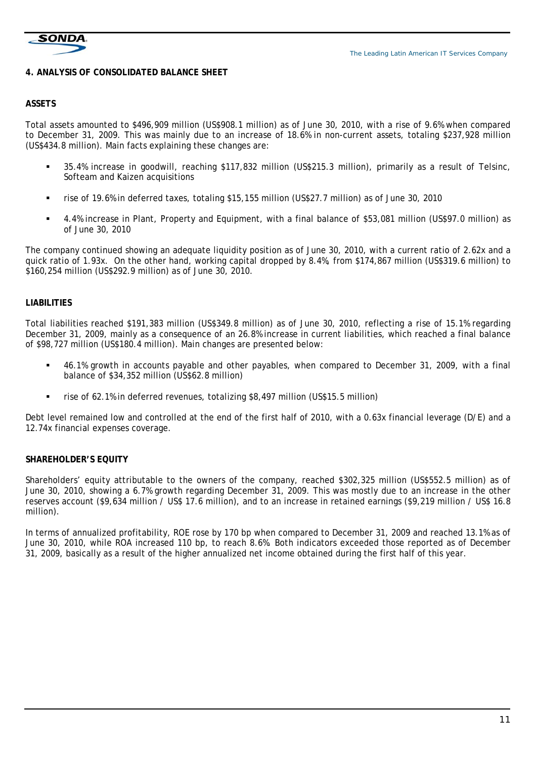

#### **4. ANALYSIS OF CONSOLIDATED BALANCE SHEET**

#### **ASSETS**

Total assets amounted to \$496,909 million (US\$908.1 million) as of June 30, 2010, with a rise of 9.6% when compared to December 31, 2009. This was mainly due to an increase of 18.6% in non-current assets, totaling \$237,928 million (US\$434.8 million). Main facts explaining these changes are:

- 35.4% increase in goodwill, reaching \$117,832 million (US\$215.3 million), primarily as a result of Telsinc, Softeam and Kaizen acquisitions
- rise of 19.6% in deferred taxes, totaling \$15,155 million (US\$27.7 million) as of June 30, 2010
- 4.4% increase in Plant, Property and Equipment, with a final balance of \$53,081 million (US\$97.0 million) as of June 30, 2010

The company continued showing an adequate liquidity position as of June 30, 2010, with a current ratio of 2.62x and a quick ratio of 1.93x. On the other hand, working capital dropped by 8.4%, from \$174,867 million (US\$319.6 million) to \$160,254 million (US\$292.9 million) as of June 30, 2010.

# **LIABILITIES**

Total liabilities reached \$191,383 million (US\$349.8 million) as of June 30, 2010, reflecting a rise of 15.1% regarding December 31, 2009, mainly as a consequence of an 26.8% increase in current liabilities, which reached a final balance of \$98,727 million (US\$180.4 million). Main changes are presented below:

- 46.1% growth in accounts payable and other payables, when compared to December 31, 2009, with a final balance of \$34,352 million (US\$62.8 million)
- rise of 62.1% in deferred revenues, totalizing \$8,497 million (US\$15.5 million)

Debt level remained low and controlled at the end of the first half of 2010, with a 0.63x financial leverage (D/E) and a 12.74x financial expenses coverage.

# **SHAREHOLDER'S EQUITY**

Shareholders' equity attributable to the owners of the company, reached \$302,325 million (US\$552.5 million) as of June 30, 2010, showing a 6.7% growth regarding December 31, 2009. This was mostly due to an increase in the other reserves account (\$9,634 million / US\$ 17.6 million), and to an increase in retained earnings (\$9,219 million / US\$ 16.8 million).

In terms of annualized profitability, ROE rose by 170 bp when compared to December 31, 2009 and reached 13.1% as of June 30, 2010, while ROA increased 110 bp, to reach 8.6%. Both indicators exceeded those reported as of December 31, 2009, basically as a result of the higher annualized net income obtained during the first half of this year.